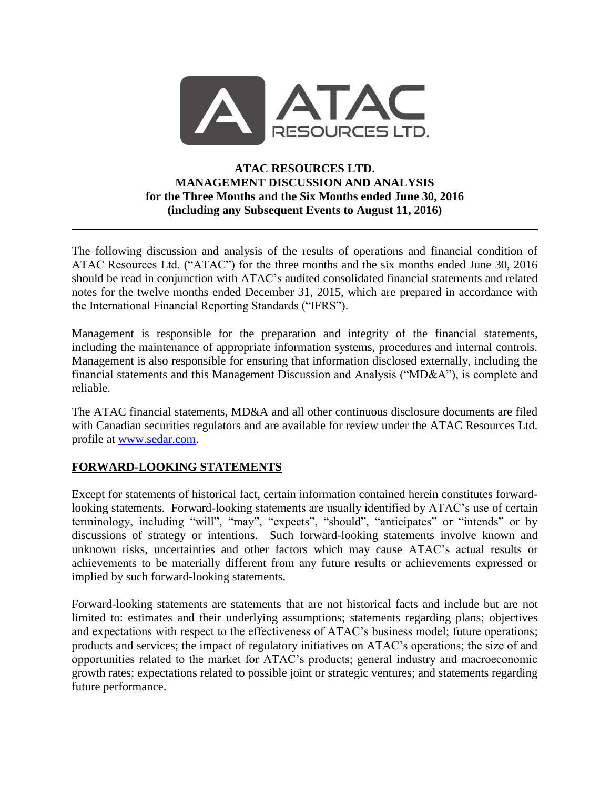

### **ATAC RESOURCES LTD. MANAGEMENT DISCUSSION AND ANALYSIS for the Three Months and the Six Months ended June 30, 2016 (including any Subsequent Events to August 11, 2016)**

The following discussion and analysis of the results of operations and financial condition of ATAC Resources Ltd. ("ATAC") for the three months and the six months ended June 30, 2016 should be read in conjunction with ATAC's audited consolidated financial statements and related notes for the twelve months ended December 31, 2015, which are prepared in accordance with the International Financial Reporting Standards ("IFRS").

Management is responsible for the preparation and integrity of the financial statements, including the maintenance of appropriate information systems, procedures and internal controls. Management is also responsible for ensuring that information disclosed externally, including the financial statements and this Management Discussion and Analysis ("MD&A"), is complete and reliable.

The ATAC financial statements, MD&A and all other continuous disclosure documents are filed with Canadian securities regulators and are available for review under the ATAC Resources Ltd. profile at [www.sedar.com.](http://www.sedar.com/)

### **FORWARD-LOOKING STATEMENTS**

Except for statements of historical fact, certain information contained herein constitutes forwardlooking statements. Forward-looking statements are usually identified by ATAC's use of certain terminology, including "will", "may", "expects", "should", "anticipates" or "intends" or by discussions of strategy or intentions. Such forward-looking statements involve known and unknown risks, uncertainties and other factors which may cause ATAC's actual results or achievements to be materially different from any future results or achievements expressed or implied by such forward-looking statements.

Forward-looking statements are statements that are not historical facts and include but are not limited to: estimates and their underlying assumptions; statements regarding plans; objectives and expectations with respect to the effectiveness of ATAC's business model; future operations; products and services; the impact of regulatory initiatives on ATAC's operations; the size of and opportunities related to the market for ATAC's products; general industry and macroeconomic growth rates; expectations related to possible joint or strategic ventures; and statements regarding future performance.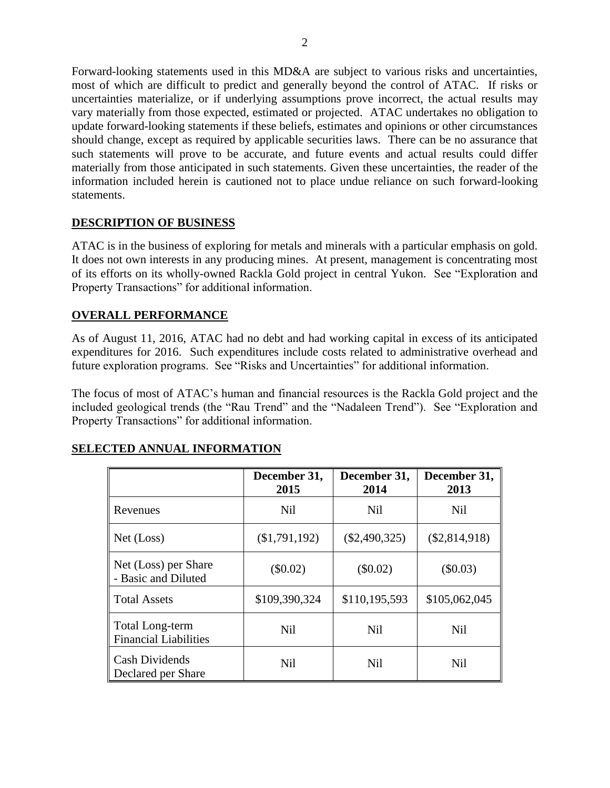Forward-looking statements used in this MD&A are subject to various risks and uncertainties, most of which are difficult to predict and generally beyond the control of ATAC. If risks or uncertainties materialize, or if underlying assumptions prove incorrect, the actual results may vary materially from those expected, estimated or projected. ATAC undertakes no obligation to update forward-looking statements if these beliefs, estimates and opinions or other circumstances should change, except as required by applicable securities laws. There can be no assurance that such statements will prove to be accurate, and future events and actual results could differ materially from those anticipated in such statements. Given these uncertainties, the reader of the information included herein is cautioned not to place undue reliance on such forward-looking statements.

# **DESCRIPTION OF BUSINESS**

ATAC is in the business of exploring for metals and minerals with a particular emphasis on gold. It does not own interests in any producing mines. At present, management is concentrating most of its efforts on its wholly-owned Rackla Gold project in central Yukon. See "Exploration and Property Transactions" for additional information.

# **OVERALL PERFORMANCE**

As of August 11, 2016, ATAC had no debt and had working capital in excess of its anticipated expenditures for 2016. Such expenditures include costs related to administrative overhead and future exploration programs. See "Risks and Uncertainties" for additional information.

The focus of most of ATAC's human and financial resources is the Rackla Gold project and the included geological trends (the "Rau Trend" and the "Nadaleen Trend"). See "Exploration and Property Transactions" for additional information.

|                                                 | December 31,<br>2015 | December 31,<br>2014 | December 31,<br>2013 |
|-------------------------------------------------|----------------------|----------------------|----------------------|
| Revenues                                        | <b>Nil</b>           | <b>Nil</b>           | <b>Nil</b>           |
| Net (Loss)                                      | (\$1,791,192)        | $(\$2,490,325)$      | $(\$2,814,918)$      |
| Net (Loss) per Share<br>- Basic and Diluted     | $(\$0.02)$           | $(\$0.02)$           | (\$0.03)             |
| <b>Total Assets</b>                             | \$109,390,324        | \$110,195,593        | \$105,062,045        |
| Total Long-term<br><b>Financial Liabilities</b> | <b>Nil</b>           | <b>Nil</b>           | <b>Nil</b>           |
| <b>Cash Dividends</b><br>Declared per Share     | <b>Nil</b>           | <b>Nil</b>           | <b>Nil</b>           |

### **SELECTED ANNUAL INFORMATION**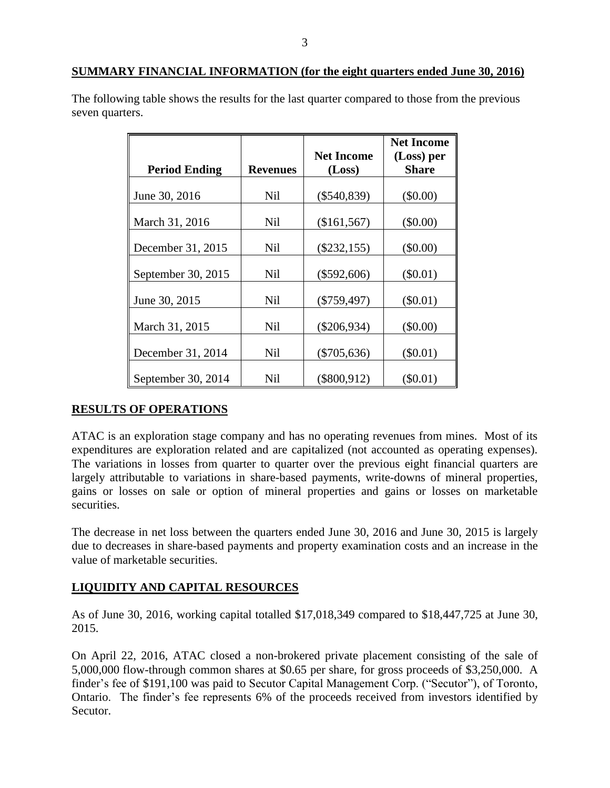#### **SUMMARY FINANCIAL INFORMATION (for the eight quarters ended June 30, 2016)**

The following table shows the results for the last quarter compared to those from the previous seven quarters.

|                      |                 |                   | <b>Net Income</b> |
|----------------------|-----------------|-------------------|-------------------|
|                      |                 | <b>Net Income</b> | (Loss) per        |
| <b>Period Ending</b> | <b>Revenues</b> | (Loss)            | <b>Share</b>      |
| June 30, 2016        | <b>Nil</b>      | $(\$540,839)$     | $(\$0.00)$        |
| March 31, 2016       | Nil             | (\$161,567)       | (\$0.00)          |
| December 31, 2015    | Nil             | $(\$232,155)$     | $(\$0.00)$        |
| September 30, 2015   | Nil             | $(\$592,606)$     | $(\$0.01)$        |
| June 30, 2015        | Nil             | $(\$759,497)$     | $(\$0.01)$        |
| March 31, 2015       | Nil             | $(\$206,934)$     | (\$0.00)          |
| December 31, 2014    | <b>Nil</b>      | $(\$705,636)$     | $(\$0.01)$        |
| September 30, 2014   | Nil             | $(\$800,912)$     | $(\$0.01)$        |

### **RESULTS OF OPERATIONS**

ATAC is an exploration stage company and has no operating revenues from mines. Most of its expenditures are exploration related and are capitalized (not accounted as operating expenses). The variations in losses from quarter to quarter over the previous eight financial quarters are largely attributable to variations in share-based payments, write-downs of mineral properties, gains or losses on sale or option of mineral properties and gains or losses on marketable securities.

The decrease in net loss between the quarters ended June 30, 2016 and June 30, 2015 is largely due to decreases in share-based payments and property examination costs and an increase in the value of marketable securities.

### **LIQUIDITY AND CAPITAL RESOURCES**

As of June 30, 2016, working capital totalled \$17,018,349 compared to \$18,447,725 at June 30, 2015.

On April 22, 2016, ATAC closed a non-brokered private placement consisting of the sale of 5,000,000 flow-through common shares at \$0.65 per share, for gross proceeds of \$3,250,000. A finder's fee of \$191,100 was paid to Secutor Capital Management Corp. ("Secutor"), of Toronto, Ontario. The finder's fee represents 6% of the proceeds received from investors identified by Secutor.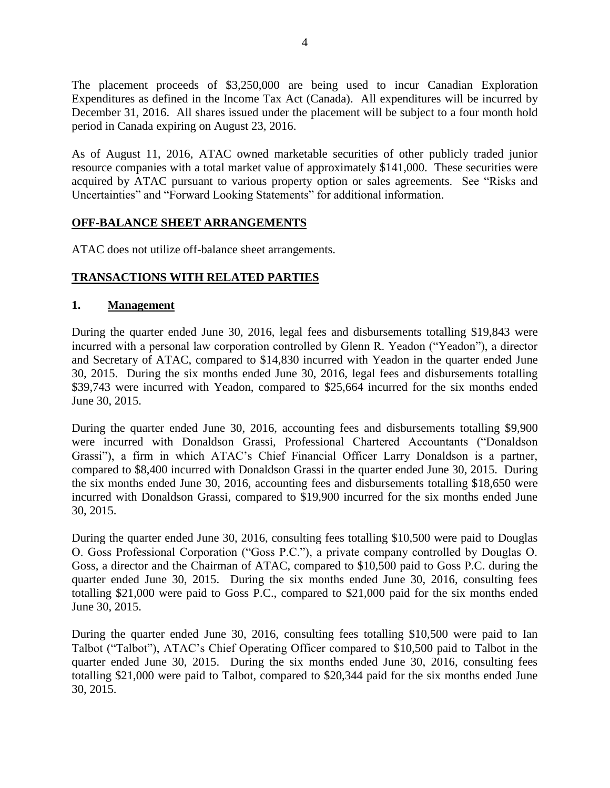The placement proceeds of \$3,250,000 are being used to incur Canadian Exploration Expenditures as defined in the Income Tax Act (Canada). All expenditures will be incurred by December 31, 2016. All shares issued under the placement will be subject to a four month hold period in Canada expiring on August 23, 2016.

As of August 11, 2016, ATAC owned marketable securities of other publicly traded junior resource companies with a total market value of approximately \$141,000. These securities were acquired by ATAC pursuant to various property option or sales agreements. See "Risks and Uncertainties" and "Forward Looking Statements" for additional information.

#### **OFF-BALANCE SHEET ARRANGEMENTS**

ATAC does not utilize off-balance sheet arrangements.

#### **TRANSACTIONS WITH RELATED PARTIES**

#### **1. Management**

During the quarter ended June 30, 2016, legal fees and disbursements totalling \$19,843 were incurred with a personal law corporation controlled by Glenn R. Yeadon ("Yeadon"), a director and Secretary of ATAC, compared to \$14,830 incurred with Yeadon in the quarter ended June 30, 2015. During the six months ended June 30, 2016, legal fees and disbursements totalling \$39,743 were incurred with Yeadon, compared to \$25,664 incurred for the six months ended June 30, 2015.

During the quarter ended June 30, 2016, accounting fees and disbursements totalling \$9,900 were incurred with Donaldson Grassi, Professional Chartered Accountants ("Donaldson Grassi"), a firm in which ATAC's Chief Financial Officer Larry Donaldson is a partner, compared to \$8,400 incurred with Donaldson Grassi in the quarter ended June 30, 2015. During the six months ended June 30, 2016, accounting fees and disbursements totalling \$18,650 were incurred with Donaldson Grassi, compared to \$19,900 incurred for the six months ended June 30, 2015.

During the quarter ended June 30, 2016, consulting fees totalling \$10,500 were paid to Douglas O. Goss Professional Corporation ("Goss P.C."), a private company controlled by Douglas O. Goss, a director and the Chairman of ATAC, compared to \$10,500 paid to Goss P.C. during the quarter ended June 30, 2015. During the six months ended June 30, 2016, consulting fees totalling \$21,000 were paid to Goss P.C., compared to \$21,000 paid for the six months ended June 30, 2015.

During the quarter ended June 30, 2016, consulting fees totalling \$10,500 were paid to Ian Talbot ("Talbot"), ATAC's Chief Operating Officer compared to \$10,500 paid to Talbot in the quarter ended June 30, 2015. During the six months ended June 30, 2016, consulting fees totalling \$21,000 were paid to Talbot, compared to \$20,344 paid for the six months ended June 30, 2015.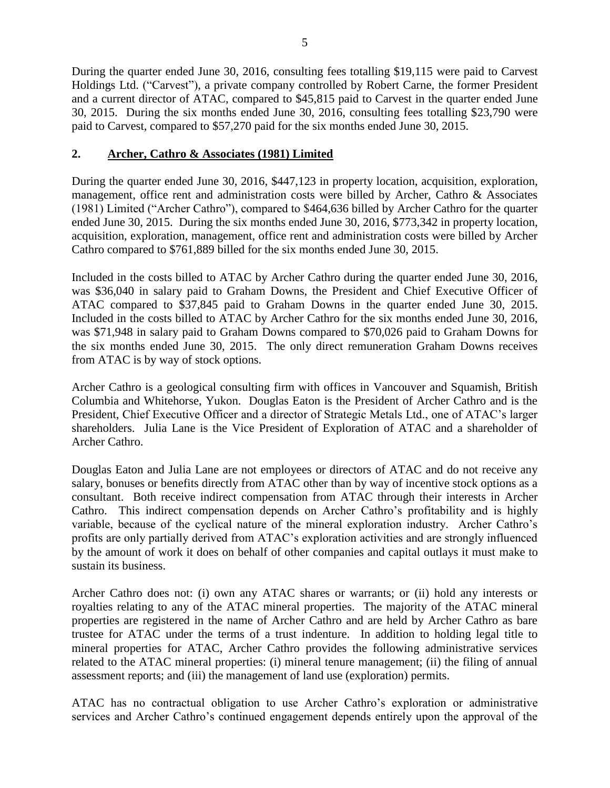During the quarter ended June 30, 2016, consulting fees totalling \$19,115 were paid to Carvest Holdings Ltd. ("Carvest"), a private company controlled by Robert Carne, the former President and a current director of ATAC, compared to \$45,815 paid to Carvest in the quarter ended June 30, 2015. During the six months ended June 30, 2016, consulting fees totalling \$23,790 were paid to Carvest, compared to \$57,270 paid for the six months ended June 30, 2015.

### **2. Archer, Cathro & Associates (1981) Limited**

During the quarter ended June 30, 2016, \$447,123 in property location, acquisition, exploration, management, office rent and administration costs were billed by Archer, Cathro & Associates (1981) Limited ("Archer Cathro"), compared to \$464,636 billed by Archer Cathro for the quarter ended June 30, 2015. During the six months ended June 30, 2016, \$773,342 in property location, acquisition, exploration, management, office rent and administration costs were billed by Archer Cathro compared to \$761,889 billed for the six months ended June 30, 2015.

Included in the costs billed to ATAC by Archer Cathro during the quarter ended June 30, 2016, was \$36,040 in salary paid to Graham Downs, the President and Chief Executive Officer of ATAC compared to \$37,845 paid to Graham Downs in the quarter ended June 30, 2015. Included in the costs billed to ATAC by Archer Cathro for the six months ended June 30, 2016, was \$71,948 in salary paid to Graham Downs compared to \$70,026 paid to Graham Downs for the six months ended June 30, 2015. The only direct remuneration Graham Downs receives from ATAC is by way of stock options.

Archer Cathro is a geological consulting firm with offices in Vancouver and Squamish, British Columbia and Whitehorse, Yukon. Douglas Eaton is the President of Archer Cathro and is the President, Chief Executive Officer and a director of Strategic Metals Ltd., one of ATAC's larger shareholders. Julia Lane is the Vice President of Exploration of ATAC and a shareholder of Archer Cathro.

Douglas Eaton and Julia Lane are not employees or directors of ATAC and do not receive any salary, bonuses or benefits directly from ATAC other than by way of incentive stock options as a consultant. Both receive indirect compensation from ATAC through their interests in Archer Cathro. This indirect compensation depends on Archer Cathro's profitability and is highly variable, because of the cyclical nature of the mineral exploration industry. Archer Cathro's profits are only partially derived from ATAC's exploration activities and are strongly influenced by the amount of work it does on behalf of other companies and capital outlays it must make to sustain its business.

Archer Cathro does not: (i) own any ATAC shares or warrants; or (ii) hold any interests or royalties relating to any of the ATAC mineral properties. The majority of the ATAC mineral properties are registered in the name of Archer Cathro and are held by Archer Cathro as bare trustee for ATAC under the terms of a trust indenture. In addition to holding legal title to mineral properties for ATAC, Archer Cathro provides the following administrative services related to the ATAC mineral properties: (i) mineral tenure management; (ii) the filing of annual assessment reports; and (iii) the management of land use (exploration) permits.

ATAC has no contractual obligation to use Archer Cathro's exploration or administrative services and Archer Cathro's continued engagement depends entirely upon the approval of the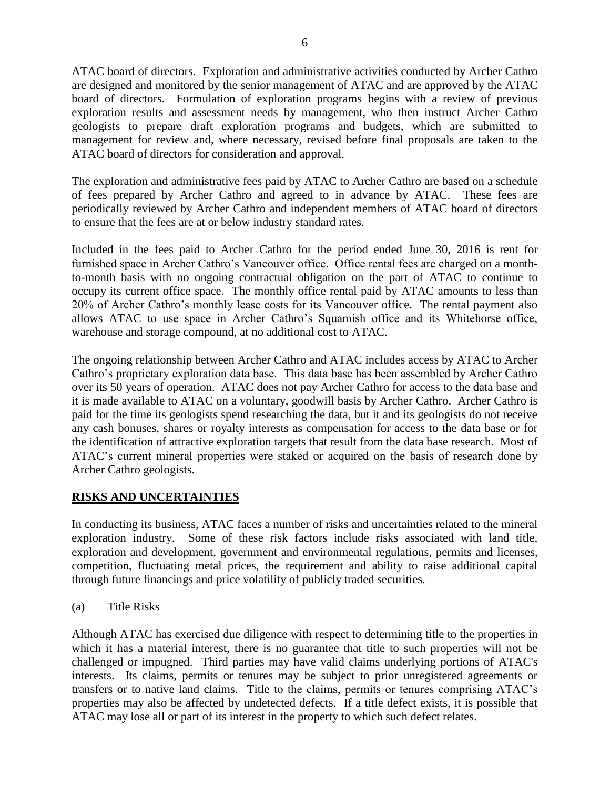ATAC board of directors. Exploration and administrative activities conducted by Archer Cathro are designed and monitored by the senior management of ATAC and are approved by the ATAC board of directors. Formulation of exploration programs begins with a review of previous exploration results and assessment needs by management, who then instruct Archer Cathro geologists to prepare draft exploration programs and budgets, which are submitted to management for review and, where necessary, revised before final proposals are taken to the ATAC board of directors for consideration and approval.

The exploration and administrative fees paid by ATAC to Archer Cathro are based on a schedule of fees prepared by Archer Cathro and agreed to in advance by ATAC. These fees are periodically reviewed by Archer Cathro and independent members of ATAC board of directors to ensure that the fees are at or below industry standard rates.

Included in the fees paid to Archer Cathro for the period ended June 30, 2016 is rent for furnished space in Archer Cathro's Vancouver office. Office rental fees are charged on a monthto-month basis with no ongoing contractual obligation on the part of ATAC to continue to occupy its current office space. The monthly office rental paid by ATAC amounts to less than 20% of Archer Cathro's monthly lease costs for its Vancouver office. The rental payment also allows ATAC to use space in Archer Cathro's Squamish office and its Whitehorse office, warehouse and storage compound, at no additional cost to ATAC.

The ongoing relationship between Archer Cathro and ATAC includes access by ATAC to Archer Cathro's proprietary exploration data base. This data base has been assembled by Archer Cathro over its 50 years of operation. ATAC does not pay Archer Cathro for access to the data base and it is made available to ATAC on a voluntary, goodwill basis by Archer Cathro. Archer Cathro is paid for the time its geologists spend researching the data, but it and its geologists do not receive any cash bonuses, shares or royalty interests as compensation for access to the data base or for the identification of attractive exploration targets that result from the data base research. Most of ATAC's current mineral properties were staked or acquired on the basis of research done by Archer Cathro geologists.

### **RISKS AND UNCERTAINTIES**

In conducting its business, ATAC faces a number of risks and uncertainties related to the mineral exploration industry. Some of these risk factors include risks associated with land title, exploration and development, government and environmental regulations, permits and licenses, competition, fluctuating metal prices, the requirement and ability to raise additional capital through future financings and price volatility of publicly traded securities.

(a) Title Risks

Although ATAC has exercised due diligence with respect to determining title to the properties in which it has a material interest, there is no guarantee that title to such properties will not be challenged or impugned. Third parties may have valid claims underlying portions of ATAC's interests. Its claims, permits or tenures may be subject to prior unregistered agreements or transfers or to native land claims. Title to the claims, permits or tenures comprising ATAC's properties may also be affected by undetected defects. If a title defect exists, it is possible that ATAC may lose all or part of its interest in the property to which such defect relates.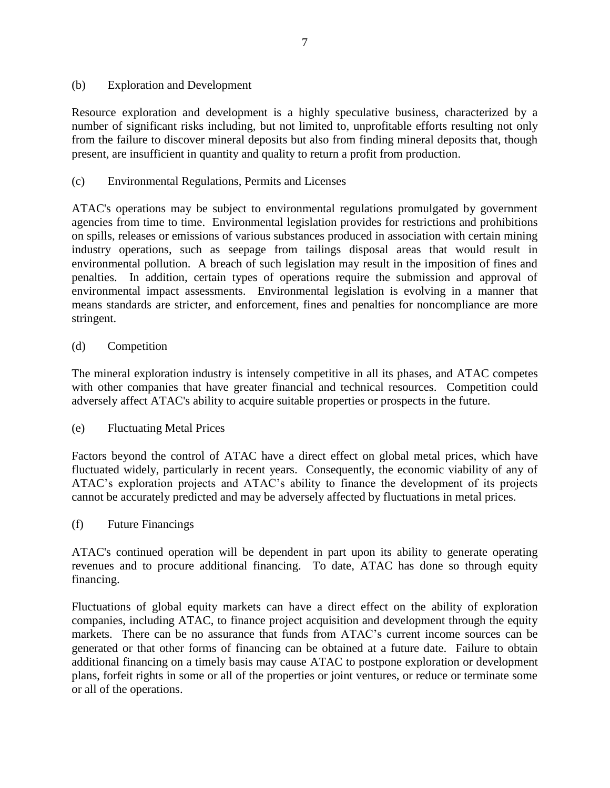#### (b) Exploration and Development

Resource exploration and development is a highly speculative business, characterized by a number of significant risks including, but not limited to, unprofitable efforts resulting not only from the failure to discover mineral deposits but also from finding mineral deposits that, though present, are insufficient in quantity and quality to return a profit from production.

### (c) Environmental Regulations, Permits and Licenses

ATAC's operations may be subject to environmental regulations promulgated by government agencies from time to time. Environmental legislation provides for restrictions and prohibitions on spills, releases or emissions of various substances produced in association with certain mining industry operations, such as seepage from tailings disposal areas that would result in environmental pollution. A breach of such legislation may result in the imposition of fines and penalties. In addition, certain types of operations require the submission and approval of environmental impact assessments. Environmental legislation is evolving in a manner that means standards are stricter, and enforcement, fines and penalties for noncompliance are more stringent.

### (d) Competition

The mineral exploration industry is intensely competitive in all its phases, and ATAC competes with other companies that have greater financial and technical resources. Competition could adversely affect ATAC's ability to acquire suitable properties or prospects in the future.

### (e) Fluctuating Metal Prices

Factors beyond the control of ATAC have a direct effect on global metal prices, which have fluctuated widely, particularly in recent years. Consequently, the economic viability of any of ATAC's exploration projects and ATAC's ability to finance the development of its projects cannot be accurately predicted and may be adversely affected by fluctuations in metal prices.

(f) Future Financings

ATAC's continued operation will be dependent in part upon its ability to generate operating revenues and to procure additional financing. To date, ATAC has done so through equity financing.

Fluctuations of global equity markets can have a direct effect on the ability of exploration companies, including ATAC, to finance project acquisition and development through the equity markets. There can be no assurance that funds from ATAC's current income sources can be generated or that other forms of financing can be obtained at a future date. Failure to obtain additional financing on a timely basis may cause ATAC to postpone exploration or development plans, forfeit rights in some or all of the properties or joint ventures, or reduce or terminate some or all of the operations.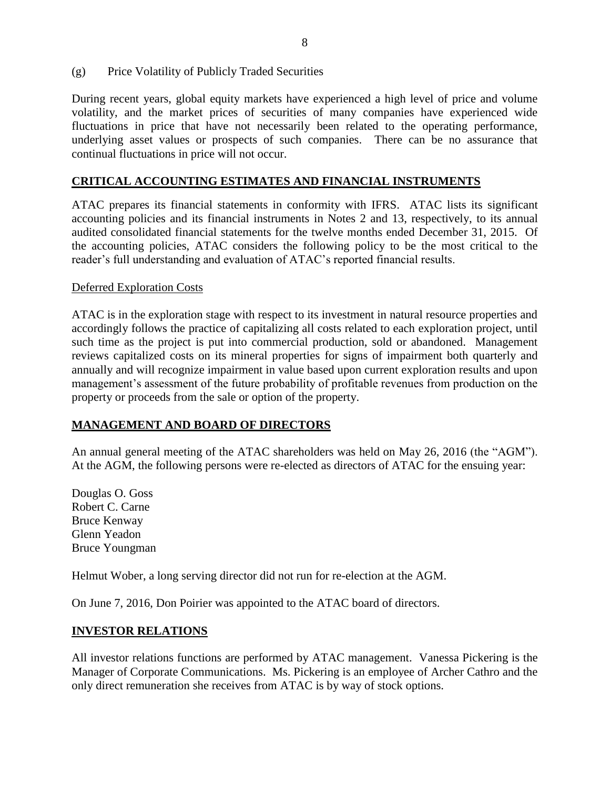(g) Price Volatility of Publicly Traded Securities

During recent years, global equity markets have experienced a high level of price and volume volatility, and the market prices of securities of many companies have experienced wide fluctuations in price that have not necessarily been related to the operating performance, underlying asset values or prospects of such companies. There can be no assurance that continual fluctuations in price will not occur.

#### **CRITICAL ACCOUNTING ESTIMATES AND FINANCIAL INSTRUMENTS**

ATAC prepares its financial statements in conformity with IFRS. ATAC lists its significant accounting policies and its financial instruments in Notes 2 and 13, respectively, to its annual audited consolidated financial statements for the twelve months ended December 31, 2015. Of the accounting policies, ATAC considers the following policy to be the most critical to the reader's full understanding and evaluation of ATAC's reported financial results.

#### Deferred Exploration Costs

ATAC is in the exploration stage with respect to its investment in natural resource properties and accordingly follows the practice of capitalizing all costs related to each exploration project, until such time as the project is put into commercial production, sold or abandoned. Management reviews capitalized costs on its mineral properties for signs of impairment both quarterly and annually and will recognize impairment in value based upon current exploration results and upon management's assessment of the future probability of profitable revenues from production on the property or proceeds from the sale or option of the property.

#### **MANAGEMENT AND BOARD OF DIRECTORS**

An annual general meeting of the ATAC shareholders was held on May 26, 2016 (the "AGM"). At the AGM, the following persons were re-elected as directors of ATAC for the ensuing year:

Douglas O. Goss Robert C. Carne Bruce Kenway Glenn Yeadon Bruce Youngman

Helmut Wober, a long serving director did not run for re-election at the AGM.

On June 7, 2016, Don Poirier was appointed to the ATAC board of directors.

#### **INVESTOR RELATIONS**

All investor relations functions are performed by ATAC management. Vanessa Pickering is the Manager of Corporate Communications. Ms. Pickering is an employee of Archer Cathro and the only direct remuneration she receives from ATAC is by way of stock options.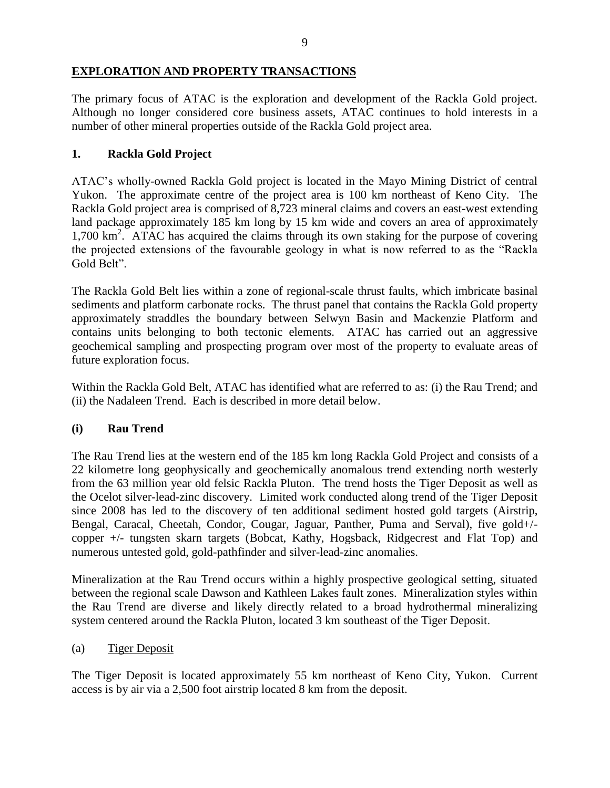# **EXPLORATION AND PROPERTY TRANSACTIONS**

The primary focus of ATAC is the exploration and development of the Rackla Gold project. Although no longer considered core business assets, ATAC continues to hold interests in a number of other mineral properties outside of the Rackla Gold project area.

### **1. Rackla Gold Project**

ATAC's wholly-owned Rackla Gold project is located in the Mayo Mining District of central Yukon. The approximate centre of the project area is 100 km northeast of Keno City. The Rackla Gold project area is comprised of 8,723 mineral claims and covers an east-west extending land package approximately 185 km long by 15 km wide and covers an area of approximately 1,700 km<sup>2</sup>. ATAC has acquired the claims through its own staking for the purpose of covering the projected extensions of the favourable geology in what is now referred to as the "Rackla Gold Belt".

The Rackla Gold Belt lies within a zone of regional-scale thrust faults, which imbricate basinal sediments and platform carbonate rocks. The thrust panel that contains the Rackla Gold property approximately straddles the boundary between Selwyn Basin and Mackenzie Platform and contains units belonging to both tectonic elements. ATAC has carried out an aggressive geochemical sampling and prospecting program over most of the property to evaluate areas of future exploration focus.

Within the Rackla Gold Belt, ATAC has identified what are referred to as: (i) the Rau Trend; and (ii) the Nadaleen Trend. Each is described in more detail below.

### **(i) Rau Trend**

The [Rau Trend](http://www.atacresources.com/projects/rackla/rau-trend) lies at the western end of the 185 km long Rackla Gold Project and consists of a 22 kilometre long geophysically and geochemically anomalous trend extending north westerly from the 63 million year old felsic Rackla Pluton. The trend hosts the Tiger Deposit as well as the Ocelot silver-lead-zinc discovery. Limited work conducted along trend of the Tiger Deposit since 2008 has led to the discovery of ten additional sediment hosted gold targets (Airstrip, Bengal, Caracal, Cheetah, Condor, Cougar, Jaguar, Panther, Puma and Serval), five gold+/ copper +/- tungsten skarn targets (Bobcat, Kathy, Hogsback, Ridgecrest and Flat Top) and numerous untested gold, gold-pathfinder and silver-lead-zinc anomalies.

Mineralization at the Rau Trend occurs within a highly prospective geological setting, situated between the regional scale Dawson and Kathleen Lakes fault zones. Mineralization styles within the Rau Trend are diverse and likely directly related to a broad hydrothermal mineralizing system centered around the Rackla Pluton, located 3 km southeast of the Tiger Deposit.

#### (a) Tiger Deposit

The Tiger Deposit is located approximately 55 km northeast of Keno City, Yukon. Current access is by air via a 2,500 foot airstrip located 8 km from the deposit.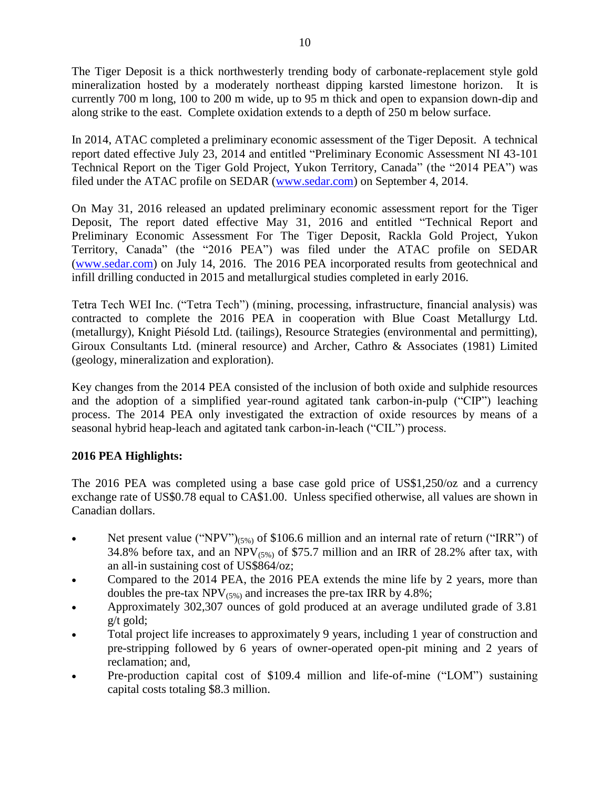The Tiger Deposit is a thick northwesterly trending body of carbonate-replacement style gold mineralization hosted by a moderately northeast dipping karsted limestone horizon. It is currently 700 m long, 100 to 200 m wide, up to 95 m thick and open to expansion down-dip and along strike to the east. Complete oxidation extends to a depth of 250 m below surface.

In 2014, ATAC completed a preliminary economic assessment of the Tiger Deposit. A technical report dated effective July 23, 2014 and entitled "Preliminary Economic Assessment NI 43-101 Technical Report on the Tiger Gold Project, Yukon Territory, Canada" (the "2014 PEA") was filed under the ATAC profile on SEDAR [\(www.sedar.com\)](http://www.sedar.com/) on September 4, 2014.

On May 31, 2016 released an updated preliminary economic assessment report for the Tiger Deposit, The report dated effective May 31, 2016 and entitled "Technical Report and Preliminary Economic Assessment For The Tiger Deposit, Rackla Gold Project, Yukon Territory, Canada" (the "2016 PEA") was filed under the ATAC profile on SEDAR [\(www.sedar.com\)](http://www.sedar.com/) on July 14, 2016. The 2016 PEA incorporated results from geotechnical and infill drilling conducted in 2015 and metallurgical studies completed in early 2016.

Tetra Tech WEI Inc. ("Tetra Tech") (mining, processing, infrastructure, financial analysis) was contracted to complete the 2016 PEA in cooperation with Blue Coast Metallurgy Ltd. (metallurgy), Knight Piésold Ltd. (tailings), Resource Strategies (environmental and permitting), Giroux Consultants Ltd. (mineral resource) and Archer, Cathro & Associates (1981) Limited (geology, mineralization and exploration).

Key changes from the 2014 PEA consisted of the inclusion of both oxide and sulphide resources and the adoption of a simplified year-round agitated tank carbon-in-pulp ("CIP") leaching process. The 2014 PEA only investigated the extraction of oxide resources by means of a seasonal hybrid heap-leach and agitated tank carbon-in-leach ("CIL") process.

### **2016 PEA Highlights:**

The 2016 PEA was completed using a base case gold price of US\$1,250/oz and a currency exchange rate of US\$0.78 equal to CA\$1.00. Unless specified otherwise, all values are shown in Canadian dollars.

- Net present value ("NPV") $_{(5\%)}$  of \$106.6 million and an internal rate of return ("IRR") of 34.8% before tax, and an NPV $_{(5\%)}$  of \$75.7 million and an IRR of 28.2% after tax, with an all-in sustaining cost of US\$864/oz;
- Compared to the 2014 PEA, the 2016 PEA extends the mine life by 2 years, more than doubles the pre-tax  $NPV_{(5\%)}$  and increases the pre-tax IRR by 4.8%;
- Approximately 302,307 ounces of gold produced at an average undiluted grade of 3.81 g/t gold;
- Total project life increases to approximately 9 years, including 1 year of construction and pre-stripping followed by 6 years of owner-operated open-pit mining and 2 years of reclamation; and,
- Pre-production capital cost of \$109.4 million and life-of-mine ("LOM") sustaining capital costs totaling \$8.3 million.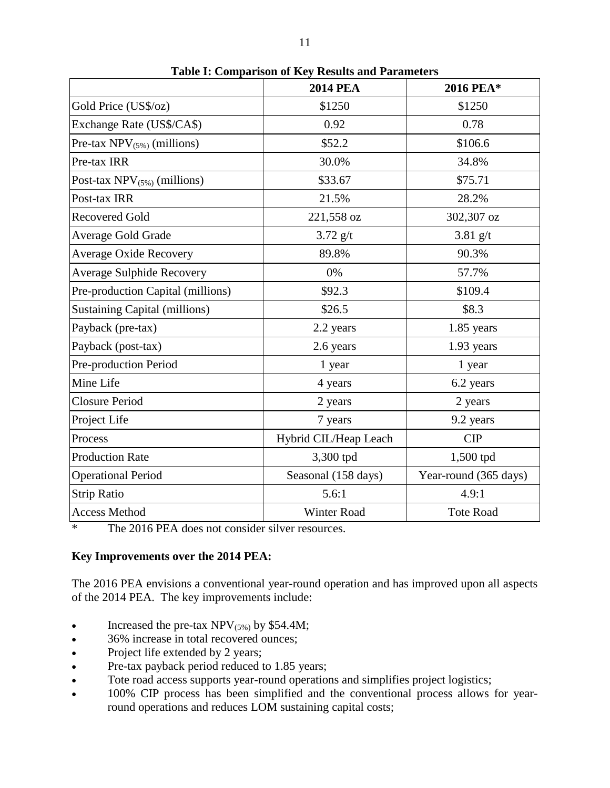|                                      | <b>2014 PEA</b>       | 2016 PEA*             |
|--------------------------------------|-----------------------|-----------------------|
| Gold Price (US\$/oz)                 | \$1250                | \$1250                |
| Exchange Rate (US\$/CA\$)            | 0.92                  | 0.78                  |
| Pre-tax $NPV_{(5\%)}$ (millions)     | \$52.2                | \$106.6               |
| Pre-tax IRR                          | 30.0%                 | 34.8%                 |
| Post-tax $NPV_{(5\%)}$ (millions)    | \$33.67               | \$75.71               |
| Post-tax IRR                         | 21.5%                 | 28.2%                 |
| <b>Recovered Gold</b>                | 221,558 oz            | 302,307 oz            |
| Average Gold Grade                   | $3.72$ g/t            | $3.81$ g/t            |
| <b>Average Oxide Recovery</b>        | 89.8%                 | 90.3%                 |
| <b>Average Sulphide Recovery</b>     | 0%                    | 57.7%                 |
| Pre-production Capital (millions)    | \$92.3                | \$109.4               |
| <b>Sustaining Capital (millions)</b> | \$26.5                | \$8.3                 |
| Payback (pre-tax)                    | 2.2 years             | 1.85 years            |
| Payback (post-tax)                   | 2.6 years             | 1.93 years            |
| Pre-production Period                | 1 year                | 1 year                |
| Mine Life                            | 4 years               | 6.2 years             |
| <b>Closure Period</b>                | 2 years               | 2 years               |
| Project Life                         | 7 years               | 9.2 years             |
| Process                              | Hybrid CIL/Heap Leach | CIP                   |
| <b>Production Rate</b>               | 3,300 tpd             | 1,500 tpd             |
| <b>Operational Period</b>            | Seasonal (158 days)   | Year-round (365 days) |
| <b>Strip Ratio</b>                   | 5.6:1                 | 4.9:1                 |
| <b>Access Method</b>                 | <b>Winter Road</b>    | <b>Tote Road</b>      |

**Table I: Comparison of Key Results and Parameters**

\* The 2016 PEA does not consider silver resources.

#### **Key Improvements over the 2014 PEA:**

The 2016 PEA envisions a conventional year-round operation and has improved upon all aspects of the 2014 PEA. The key improvements include:

- Increased the pre-tax  $NPV_{(5\%)}$  by \$54.4M;
- 36% increase in total recovered ounces;
- Project life extended by 2 years;
- Pre-tax payback period reduced to 1.85 years;
- Tote road access supports year-round operations and simplifies project logistics;
- 100% CIP process has been simplified and the conventional process allows for yearround operations and reduces LOM sustaining capital costs;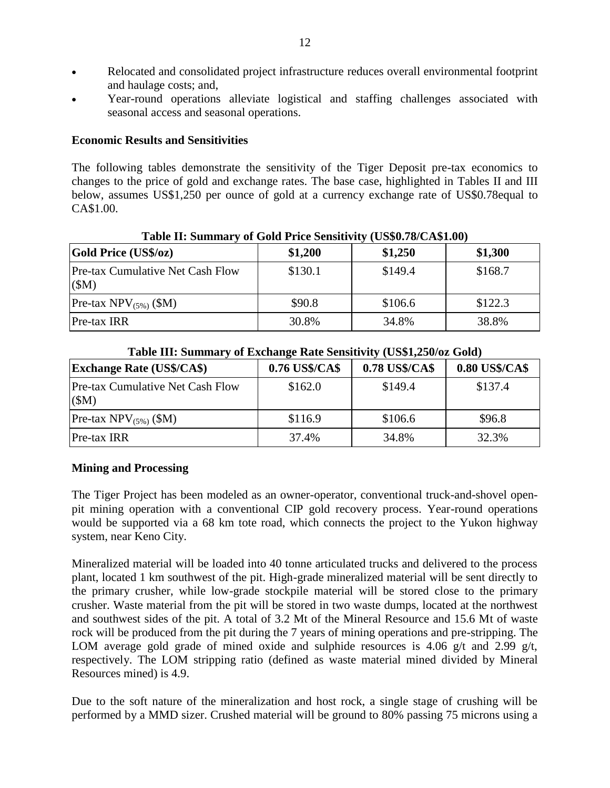- Relocated and consolidated project infrastructure reduces overall environmental footprint and haulage costs; and,
- Year-round operations alleviate logistical and staffing challenges associated with seasonal access and seasonal operations.

#### **Economic Results and Sensitivities**

The following tables demonstrate the sensitivity of the Tiger Deposit pre-tax economics to changes to the price of gold and exchange rates. The base case, highlighted in Tables II and III below, assumes US\$1,250 per ounce of gold at a currency exchange rate of US\$0.78equal to CA\$1.00.

| <b>Gold Price (US\$/oz)</b>                     | \$1,200 | \$1,250 | \$1,300 |
|-------------------------------------------------|---------|---------|---------|
| <b>Pre-tax Cumulative Net Cash Flow</b><br>(SM) | \$130.1 | \$149.4 | \$168.7 |
| Pre-tax $NPV_{(5\%)}$ (\$M)                     | \$90.8  | \$106.6 | \$122.3 |
| Pre-tax IRR                                     | 30.8%   | 34.8%   | 38.8%   |

**Table II: Summary of Gold Price Sensitivity (US\$0.78/CA\$1.00)**

| Table III. Building y of Exchange Kate Bensitty (CB\$1,250/02 Gold) |                |                |                |
|---------------------------------------------------------------------|----------------|----------------|----------------|
| <b>Exchange Rate (US\$/CA\$)</b>                                    | 0.76 US\$/CA\$ | 0.78 US\$/CA\$ | 0.80 US\$/CA\$ |
| Pre-tax Cumulative Net Cash Flow<br>(SM)                            | \$162.0        | \$149.4        | \$137.4        |
| Pre-tax $NPV_{(5\%)}$ (\$M)                                         | \$116.9        | \$106.6        | \$96.8         |
| Pre-tax IRR                                                         | 37.4%          | 34.8%          | 32.3%          |

**Table III: Summary of Exchange Rate Sensitivity (US\$1,250/oz Gold)**

### **Mining and Processing**

The Tiger Project has been modeled as an owner-operator, conventional truck-and-shovel openpit mining operation with a conventional CIP gold recovery process. Year-round operations would be supported via a 68 km tote road, which connects the project to the Yukon highway system, near Keno City.

Mineralized material will be loaded into 40 tonne articulated trucks and delivered to the process plant, located 1 km southwest of the pit. High-grade mineralized material will be sent directly to the primary crusher, while low-grade stockpile material will be stored close to the primary crusher. Waste material from the pit will be stored in two waste dumps, located at the northwest and southwest sides of the pit. A total of 3.2 Mt of the Mineral Resource and 15.6 Mt of waste rock will be produced from the pit during the 7 years of mining operations and pre-stripping. The LOM average gold grade of mined oxide and sulphide resources is 4.06 g/t and 2.99 g/t, respectively. The LOM stripping ratio (defined as waste material mined divided by Mineral Resources mined) is 4.9.

Due to the soft nature of the mineralization and host rock, a single stage of crushing will be performed by a MMD sizer. Crushed material will be ground to 80% passing 75 microns using a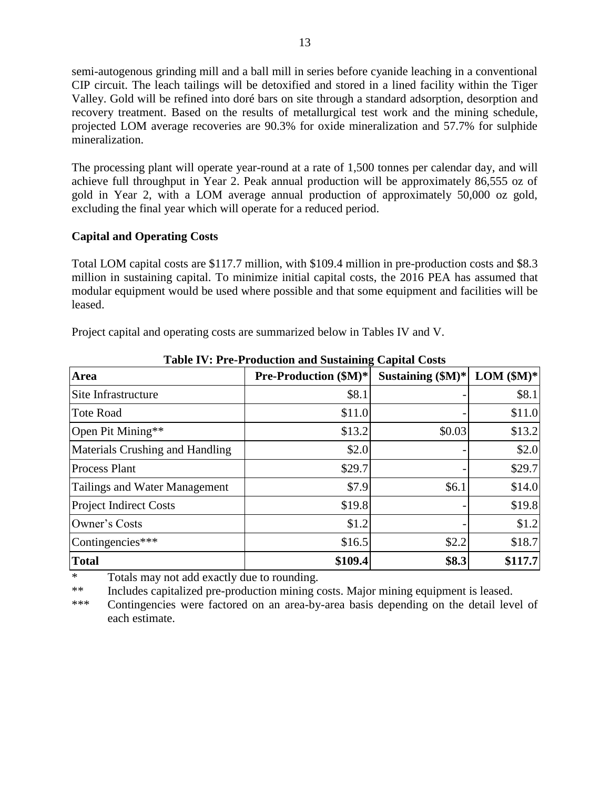semi-autogenous grinding mill and a ball mill in series before cyanide leaching in a conventional CIP circuit. The leach tailings will be detoxified and stored in a lined facility within the Tiger Valley. Gold will be refined into doré bars on site through a standard adsorption, desorption and recovery treatment. Based on the results of metallurgical test work and the mining schedule, projected LOM average recoveries are 90.3% for oxide mineralization and 57.7% for sulphide mineralization.

The processing plant will operate year-round at a rate of 1,500 tonnes per calendar day, and will achieve full throughput in Year 2. Peak annual production will be approximately 86,555 oz of gold in Year 2, with a LOM average annual production of approximately 50,000 oz gold, excluding the final year which will operate for a reduced period.

#### **Capital and Operating Costs**

Total LOM capital costs are \$117.7 million, with \$109.4 million in pre-production costs and \$8.3 million in sustaining capital. To minimize initial capital costs, the 2016 PEA has assumed that modular equipment would be used where possible and that some equipment and facilities will be leased.

Project capital and operating costs are summarized below in Tables IV and V.

| Area                            | <b>Pre-Production (\$M)*</b> | Sustaining $(\$M)*$ | $LOM$ (\$M)* |
|---------------------------------|------------------------------|---------------------|--------------|
| Site Infrastructure             | \$8.1                        |                     | \$8.1        |
| <b>Tote Road</b>                | \$11.0                       |                     | \$11.0       |
| Open Pit Mining**               | \$13.2                       | \$0.03              | \$13.2       |
| Materials Crushing and Handling | \$2.0                        |                     | \$2.0        |
| <b>Process Plant</b>            | \$29.7                       |                     | \$29.7       |
| Tailings and Water Management   | \$7.9                        | \$6.1               | \$14.0       |
| <b>Project Indirect Costs</b>   | \$19.8                       |                     | \$19.8       |
| Owner's Costs                   | \$1.2                        |                     | \$1.2        |
| Contingencies***                | \$16.5                       | \$2.2               | \$18.7       |
| <b>Total</b>                    | \$109.4                      | \$8.3               | \$117.7      |

**Table IV: Pre-Production and Sustaining Capital Costs**

\* Totals may not add exactly due to rounding.

\*\* Includes capitalized pre-production mining costs. Major mining equipment is leased.

\*\*\* Contingencies were factored on an area-by-area basis depending on the detail level of each estimate.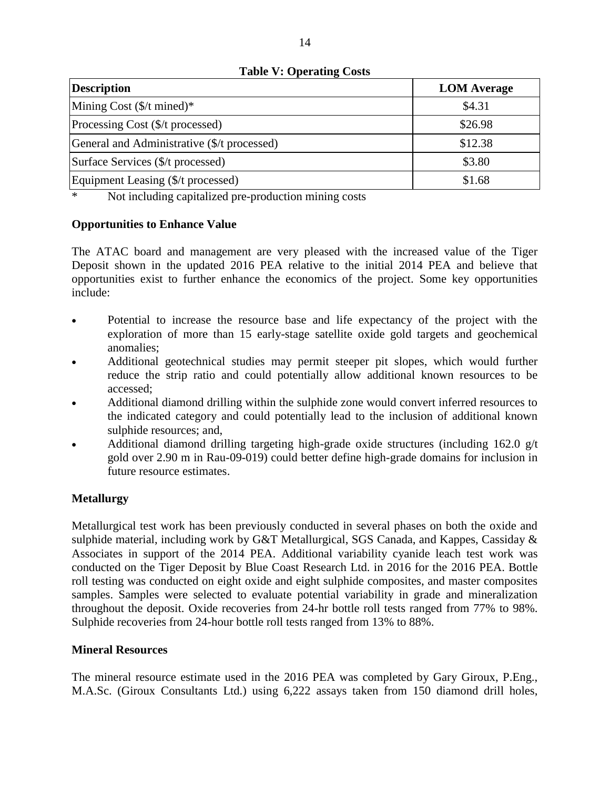| <b>Description</b>                                                                                                                                                                                                                                                                                                                                                                                                              | <b>LOM</b> Average |
|---------------------------------------------------------------------------------------------------------------------------------------------------------------------------------------------------------------------------------------------------------------------------------------------------------------------------------------------------------------------------------------------------------------------------------|--------------------|
| Mining Cost $(\frac{C}{T})$ mined)*                                                                                                                                                                                                                                                                                                                                                                                             | \$4.31             |
| Processing Cost (\$/t processed)                                                                                                                                                                                                                                                                                                                                                                                                | \$26.98            |
| General and Administrative (\$/t processed)                                                                                                                                                                                                                                                                                                                                                                                     | \$12.38            |
| Surface Services (\$/t processed)                                                                                                                                                                                                                                                                                                                                                                                               | \$3.80             |
| Equipment Leasing (\$/t processed)                                                                                                                                                                                                                                                                                                                                                                                              | \$1.68             |
| $\mathbf{u}_1 = \mathbf{u}_2 + \mathbf{u}_3 + \mathbf{u}_4 + \mathbf{u}_5 + \mathbf{u}_6 + \mathbf{u}_7 + \mathbf{u}_8 + \mathbf{u}_9 + \mathbf{u}_1 + \mathbf{u}_1 + \mathbf{u}_2 + \mathbf{u}_3 + \mathbf{u}_1 + \mathbf{u}_2 + \mathbf{u}_3 + \mathbf{u}_1 + \mathbf{u}_2 + \mathbf{u}_3 + \mathbf{u}_1 + \mathbf{u}_2 + \mathbf{u}_3 + \mathbf{u}_2 + \mathbf{u}_3 + \mathbf{u}_4 + \mathbf{u}_5 + \mathbf{u}_6 + \mathbf{$ |                    |

**Table V: Operating Costs**

\* Not including capitalized pre-production mining costs

#### **Opportunities to Enhance Value**

The ATAC board and management are very pleased with the increased value of the Tiger Deposit shown in the updated 2016 PEA relative to the initial 2014 PEA and believe that opportunities exist to further enhance the economics of the project. Some key opportunities include:

- Potential to increase the resource base and life expectancy of the project with the exploration of more than 15 early-stage satellite oxide gold targets and geochemical anomalies;
- Additional geotechnical studies may permit steeper pit slopes, which would further reduce the strip ratio and could potentially allow additional known resources to be accessed;
- Additional diamond drilling within the sulphide zone would convert inferred resources to the indicated category and could potentially lead to the inclusion of additional known sulphide resources; and,
- Additional diamond drilling targeting high-grade oxide structures (including  $162.0$  g/t gold over 2.90 m in Rau-09-019) could better define high-grade domains for inclusion in future resource estimates.

#### **Metallurgy**

Metallurgical test work has been previously conducted in several phases on both the oxide and sulphide material, including work by G&T Metallurgical, SGS Canada, and Kappes, Cassiday & Associates in support of the 2014 PEA. Additional variability cyanide leach test work was conducted on the Tiger Deposit by Blue Coast Research Ltd. in 2016 for the 2016 PEA. Bottle roll testing was conducted on eight oxide and eight sulphide composites, and master composites samples. Samples were selected to evaluate potential variability in grade and mineralization throughout the deposit. Oxide recoveries from 24-hr bottle roll tests ranged from 77% to 98%. Sulphide recoveries from 24-hour bottle roll tests ranged from 13% to 88%.

#### **Mineral Resources**

The mineral resource estimate used in the 2016 PEA was completed by Gary Giroux, P.Eng., M.A.Sc. (Giroux Consultants Ltd.) using 6,222 assays taken from 150 diamond drill holes,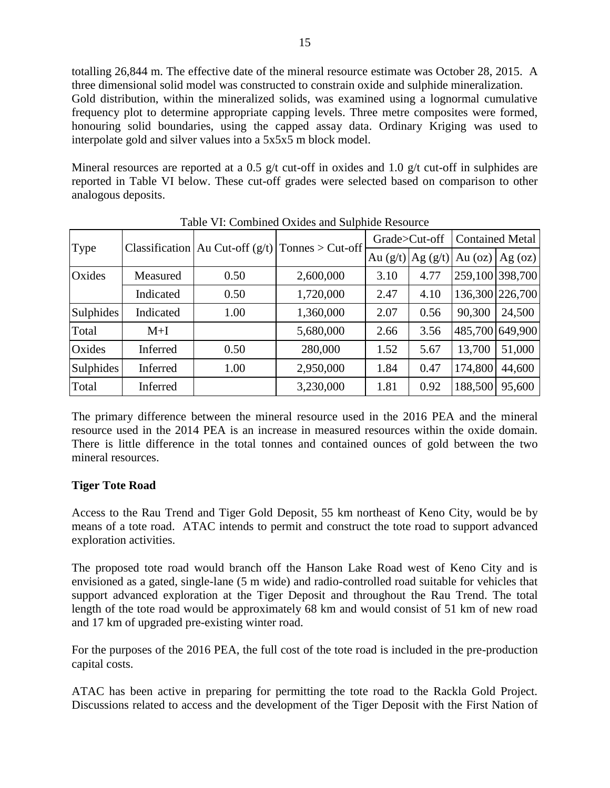totalling 26,844 m. The effective date of the mineral resource estimate was October 28, 2015. A three dimensional solid model was constructed to constrain oxide and sulphide mineralization. Gold distribution, within the mineralized solids, was examined using a lognormal cumulative frequency plot to determine appropriate capping levels. Three metre composites were formed, honouring solid boundaries, using the capped assay data. Ordinary Kriging was used to interpolate gold and silver values into a 5x5x5 m block model.

Mineral resources are reported at a 0.5 g/t cut-off in oxides and 1.0 g/t cut-off in sulphides are reported in Table VI below. These cut-off grades were selected based on comparison to other analogous deposits.

|                  | Classification   Au Cut-off $(g/t)$   Tonnes > Cut-off |      | Grade>Cut-off |            | <b>Contained Metal</b> |           |         |
|------------------|--------------------------------------------------------|------|---------------|------------|------------------------|-----------|---------|
| Type             |                                                        |      |               | Au $(g/t)$ | Ag $(g/t)$             | Au $(oz)$ | Ag (oz) |
| Oxides           | Measured                                               | 0.50 | 2,600,000     | 3.10       | 4.77                   | 259,100   | 398,700 |
|                  | Indicated                                              | 0.50 | 1,720,000     | 2.47       | 4.10                   | 136,300   | 226,700 |
| Sulphides        | Indicated                                              | 1.00 | 1,360,000     | 2.07       | 0.56                   | 90,300    | 24,500  |
| Total            | $M+I$                                                  |      | 5,680,000     | 2.66       | 3.56                   | 485,700   | 649,900 |
| Oxides           | Inferred                                               | 0.50 | 280,000       | 1.52       | 5.67                   | 13,700    | 51,000  |
| <b>Sulphides</b> | Inferred                                               | 1.00 | 2,950,000     | 1.84       | 0.47                   | 174,800   | 44,600  |
| Total            | Inferred                                               |      | 3,230,000     | 1.81       | 0.92                   | 188,500   | 95,600  |

Table VI: Combined Oxides and Sulphide Resource

The primary difference between the mineral resource used in the 2016 PEA and the mineral resource used in the 2014 PEA is an increase in measured resources within the oxide domain. There is little difference in the total tonnes and contained ounces of gold between the two mineral resources.

#### **Tiger Tote Road**

Access to the Rau Trend and Tiger Gold Deposit, 55 km northeast of Keno City, would be by means of a tote road. ATAC intends to permit and construct the tote road to support advanced exploration activities.

The proposed tote road would branch off the Hanson Lake Road west of Keno City and is envisioned as a gated, single-lane (5 m wide) and radio-controlled road suitable for vehicles that support advanced exploration at the Tiger Deposit and throughout the Rau Trend. The total length of the tote road would be approximately 68 km and would consist of 51 km of new road and 17 km of upgraded pre-existing winter road.

For the purposes of the 2016 PEA, the full cost of the tote road is included in the pre-production capital costs.

ATAC has been active in preparing for permitting the tote road to the Rackla Gold Project. Discussions related to access and the development of the Tiger Deposit with the First Nation of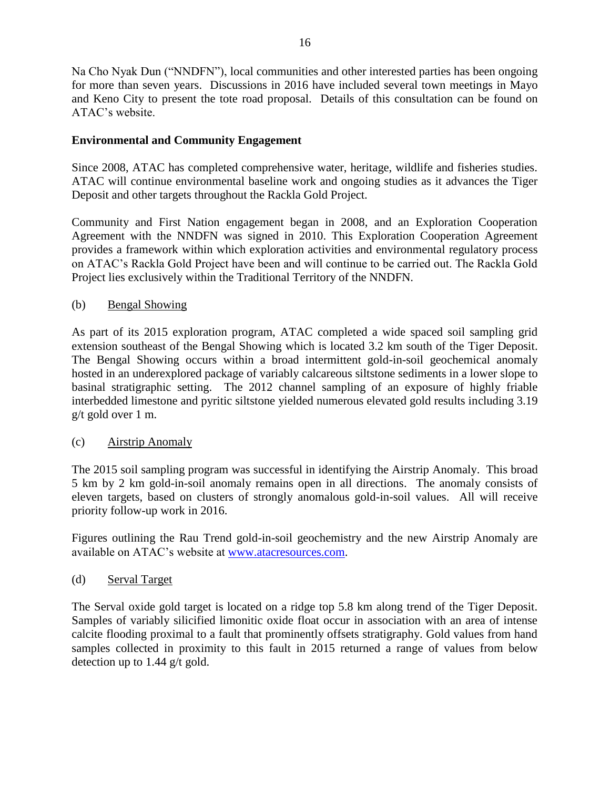Na Cho Nyak Dun ("NNDFN"), local communities and other interested parties has been ongoing for more than seven years. Discussions in 2016 have included several town meetings in Mayo and Keno City to present the tote road proposal. Details of this consultation can be found on ATAC's website.

# **Environmental and Community Engagement**

Since 2008, ATAC has completed comprehensive water, heritage, wildlife and fisheries studies. ATAC will continue environmental baseline work and ongoing studies as it advances the Tiger Deposit and other targets throughout the Rackla Gold Project.

Community and First Nation engagement began in 2008, and an Exploration Cooperation Agreement with the NNDFN was signed in 2010. This Exploration Cooperation Agreement provides a framework within which exploration activities and environmental regulatory process on ATAC's Rackla Gold Project have been and will continue to be carried out. The Rackla Gold Project lies exclusively within the Traditional Territory of the NNDFN.

### (b) Bengal Showing

As part of its 2015 exploration program, ATAC completed a wide spaced soil sampling grid extension southeast of [the Bengal Showing](http://www.atacresources.com/assets/img/2012-bengal-trench.pdf) which is located 3.2 km south of the [Tiger Deposit.](http://www.atacresources.com/projects/rackla/rau-trend/tiger-deposit) The Bengal Showing occurs within a broad intermittent gold-in-soil geochemical anomaly hosted in an underexplored package of variably calcareous siltstone sediments in a lower slope to basinal stratigraphic setting. The 2012 channel sampling of an exposure of highly friable interbedded limestone and pyritic siltstone yielded numerous elevated gold results including 3.19 g/t gold over 1 m.

### (c) Airstrip Anomaly

The 2015 soil sampling program was successful in identifying the Airstrip Anomaly. This broad 5 km by 2 km gold-in-soil anomaly remains open in all directions. The anomaly consists of eleven targets, based on clusters of strongly anomalous gold-in-soil values. All will receive priority follow-up work in 2016.

Figures outlining the Rau Trend gold-in-soil geochemistry and the new Airstrip Anomaly are available on ATAC's website at [www.atacresources.com.](http://www.atacresources.com/news/news-releases/atac-resources-ltd-identifies-10-sq-km-gold-in-soil-anomaly-5-km-southeast-of-its-tiger-gold-deposit-rackla-gold-project-yukon)

# (d) Serval Target

The Serval oxide gold target is located on a ridge top 5.8 km along trend of the Tiger Deposit. Samples of variably silicified limonitic oxide float occur in association with an area of intense calcite flooding proximal to a fault that prominently offsets stratigraphy. Gold values from hand samples collected in proximity to this fault in 2015 returned a range of values from below detection up to 1.44 g/t gold.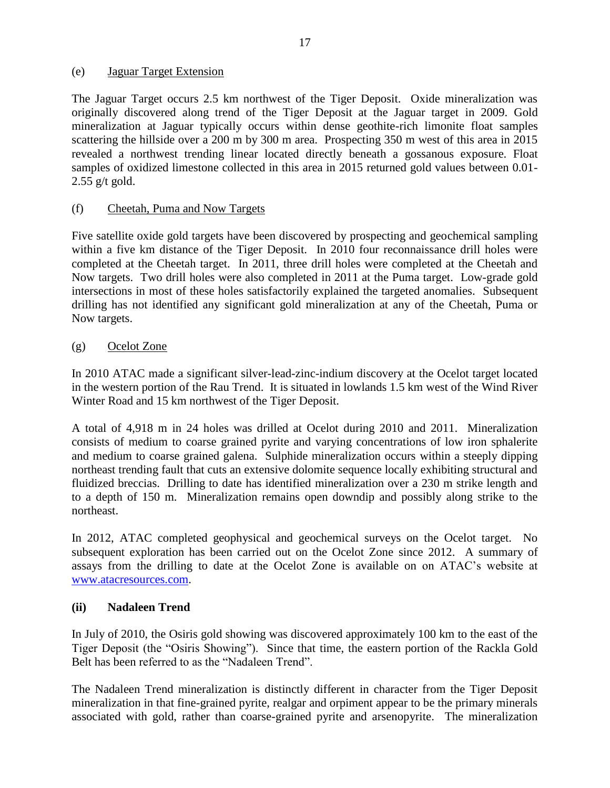#### (e) Jaguar Target Extension

The Jaguar Target occurs 2.5 km northwest of the Tiger Deposit. Oxide mineralization was originally discovered along trend of the Tiger Deposit at the Jaguar target in 2009. Gold mineralization at Jaguar typically occurs within dense geothite-rich limonite float samples scattering the hillside over a 200 m by 300 m area. Prospecting 350 m west of this area in 2015 revealed a northwest trending linear located directly beneath a gossanous exposure. Float samples of oxidized limestone collected in this area in 2015 returned gold values between 0.01-  $2.55$  g/t gold.

### (f) Cheetah, Puma and Now Targets

Five satellite oxide gold targets have been discovered by prospecting and geochemical sampling within a five km distance of the Tiger Deposit. In 2010 four reconnaissance drill holes were completed at the Cheetah target. In 2011, three drill holes were completed at the Cheetah and Now targets. Two drill holes were also completed in 2011 at the Puma target. Low-grade gold intersections in most of these holes satisfactorily explained the targeted anomalies. Subsequent drilling has not identified any significant gold mineralization at any of the Cheetah, Puma or Now targets.

#### (g) Ocelot Zone

In 2010 ATAC made a significant silver-lead-zinc-indium discovery at the Ocelot target located in the western portion of the Rau Trend. It is situated in lowlands 1.5 km west of the Wind River Winter Road and 15 km northwest of the Tiger Deposit.

A total of 4,918 m in 24 holes was drilled at Ocelot during 2010 and 2011. Mineralization consists of medium to coarse grained pyrite and varying concentrations of low iron sphalerite and medium to coarse grained galena. Sulphide mineralization occurs within a steeply dipping northeast trending fault that cuts an extensive dolomite sequence locally exhibiting structural and fluidized breccias. Drilling to date has identified mineralization over a 230 m strike length and to a depth of 150 m. Mineralization remains open downdip and possibly along strike to the northeast.

In 2012, ATAC completed geophysical and geochemical surveys on the Ocelot target. No subsequent exploration has been carried out on the Ocelot Zone since 2012. A summary of assays from the drilling to date at the Ocelot Zone is available on on ATAC's website at [www.atacresources.com.](http://www.atacresources.com/news/news-releases/atac-resources-ltd-identifies-10-sq-km-gold-in-soil-anomaly-5-km-southeast-of-its-tiger-gold-deposit-rackla-gold-project-yukon)

### **(ii) Nadaleen Trend**

In July of 2010, the Osiris gold showing was discovered approximately 100 km to the east of the Tiger Deposit (the "Osiris Showing"). Since that time, the eastern portion of the Rackla Gold Belt has been referred to as the "Nadaleen Trend".

The Nadaleen Trend mineralization is distinctly different in character from the Tiger Deposit mineralization in that fine-grained pyrite, realgar and orpiment appear to be the primary minerals associated with gold, rather than coarse-grained pyrite and arsenopyrite. The mineralization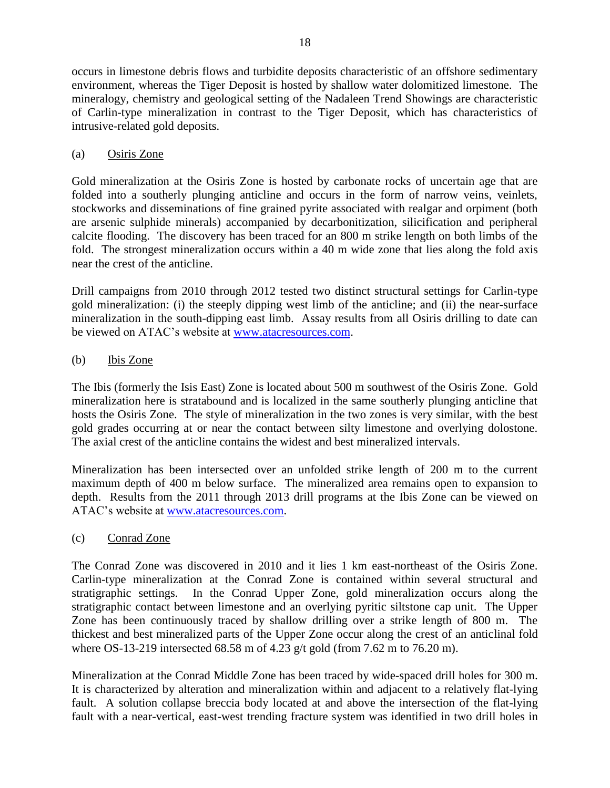occurs in limestone debris flows and turbidite deposits characteristic of an offshore sedimentary environment, whereas the Tiger Deposit is hosted by shallow water dolomitized limestone. The mineralogy, chemistry and geological setting of the Nadaleen Trend Showings are characteristic of Carlin-type mineralization in contrast to the Tiger Deposit, which has characteristics of intrusive-related gold deposits.

# (a) Osiris Zone

Gold mineralization at the Osiris Zone is hosted by carbonate rocks of uncertain age that are folded into a southerly plunging anticline and occurs in the form of narrow veins, veinlets, stockworks and disseminations of fine grained pyrite associated with realgar and orpiment (both are arsenic sulphide minerals) accompanied by decarbonitization, silicification and peripheral calcite flooding. The discovery has been traced for an 800 m strike length on both limbs of the fold. The strongest mineralization occurs within a 40 m wide zone that lies along the fold axis near the crest of the anticline.

Drill campaigns from 2010 through 2012 tested two distinct structural settings for Carlin-type gold mineralization: (i) the steeply dipping west limb of the anticline; and (ii) the near-surface mineralization in the south-dipping east limb. Assay results from all Osiris drilling to date can be viewed on ATAC's website at [www.atacresources.com.](http://www.atacresources.com/news/news-releases/atac-resources-ltd-identifies-10-sq-km-gold-in-soil-anomaly-5-km-southeast-of-its-tiger-gold-deposit-rackla-gold-project-yukon)

### (b) Ibis Zone

The Ibis (formerly the Isis East) Zone is located about 500 m southwest of the Osiris Zone. Gold mineralization here is stratabound and is localized in the same southerly plunging anticline that hosts the Osiris Zone. The style of mineralization in the two zones is very similar, with the best gold grades occurring at or near the contact between silty limestone and overlying dolostone. The axial crest of the anticline contains the widest and best mineralized intervals.

Mineralization has been intersected over an unfolded strike length of 200 m to the current maximum depth of 400 m below surface. The mineralized area remains open to expansion to depth. Results from the 2011 through 2013 drill programs at the Ibis Zone can be viewed on ATAC's website at [www.atacresources.com.](http://www.atacresources.com/news/news-releases/atac-resources-ltd-identifies-10-sq-km-gold-in-soil-anomaly-5-km-southeast-of-its-tiger-gold-deposit-rackla-gold-project-yukon)

### (c) Conrad Zone

The Conrad Zone was discovered in 2010 and it lies 1 km east-northeast of the Osiris Zone. Carlin-type mineralization at the Conrad Zone is contained within several structural and stratigraphic settings. In the Conrad Upper Zone, gold mineralization occurs along the stratigraphic contact between limestone and an overlying pyritic siltstone cap unit. The Upper Zone has been continuously traced by shallow drilling over a strike length of 800 m. The thickest and best mineralized parts of the Upper Zone occur along the crest of an anticlinal fold where OS-13-219 intersected 68.58 m of 4.23 g/t gold (from 7.62 m to 76.20 m).

Mineralization at the Conrad Middle Zone has been traced by wide-spaced drill holes for 300 m. It is characterized by alteration and mineralization within and adjacent to a relatively flat-lying fault. A solution collapse breccia body located at and above the intersection of the flat-lying fault with a near-vertical, east-west trending fracture system was identified in two drill holes in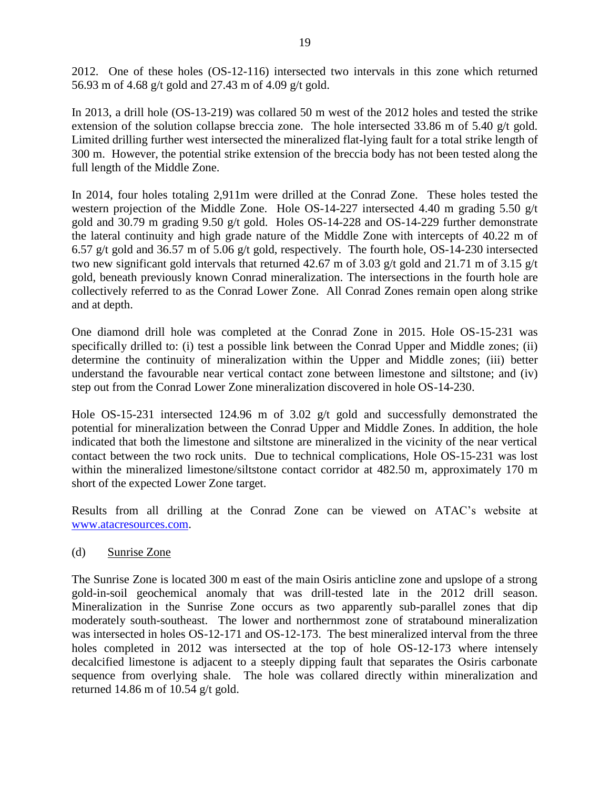2012. One of these holes (OS-12-116) intersected two intervals in this zone which returned 56.93 m of 4.68 g/t gold and 27.43 m of 4.09 g/t gold.

In 2013, a drill hole (OS-13-219) was collared 50 m west of the 2012 holes and tested the strike extension of the solution collapse breccia zone. The hole intersected 33.86 m of 5.40 g/t gold. Limited drilling further west intersected the mineralized flat-lying fault for a total strike length of 300 m. However, the potential strike extension of the breccia body has not been tested along the full length of the Middle Zone.

In 2014, four holes totaling 2,911m were drilled at the Conrad Zone. These holes tested the western projection of the Middle Zone. Hole OS-14-227 intersected 4.40 m grading 5.50 g/t gold and 30.79 m grading 9.50 g/t gold. Holes OS-14-228 and OS-14-229 further demonstrate the lateral continuity and high grade nature of the Middle Zone with intercepts of 40.22 m of 6.57 g/t gold and 36.57 m of 5.06 g/t gold, respectively. The fourth hole, OS-14-230 intersected two new significant gold intervals that returned 42.67 m of 3.03 g/t gold and 21.71 m of 3.15 g/t gold, beneath previously known Conrad mineralization. The intersections in the fourth hole are collectively referred to as the Conrad Lower Zone. All Conrad Zones remain open along strike and at depth.

One diamond drill hole was completed at the Conrad Zone in 2015. Hole OS-15-231 was specifically drilled to: (i) test a possible link between the Conrad Upper and Middle zones; (ii) determine the continuity of mineralization within the Upper and Middle zones; (iii) better understand the favourable near vertical contact zone between limestone and siltstone; and (iv) step out from the Conrad Lower Zone mineralization discovered in hole OS-14-230.

Hole OS-15-231 intersected 124.96 m of 3.02 g/t gold and successfully demonstrated the potential for mineralization between the Conrad Upper and Middle Zones. In addition, the hole indicated that both the limestone and siltstone are mineralized in the vicinity of the near vertical contact between the two rock units. Due to technical complications, Hole OS-15-231 was lost within the mineralized limestone/siltstone contact corridor at 482.50 m, approximately 170 m short of the expected Lower Zone target.

Results from all drilling at the Conrad Zone can be viewed on ATAC's website at [www.atacresources.com.](http://www.atacresources.com/news/news-releases/atac-resources-ltd-identifies-10-sq-km-gold-in-soil-anomaly-5-km-southeast-of-its-tiger-gold-deposit-rackla-gold-project-yukon)

### (d) Sunrise Zone

The Sunrise Zone is located 300 m east of the main Osiris anticline zone and upslope of a strong gold-in-soil geochemical anomaly that was drill-tested late in the 2012 drill season. Mineralization in the Sunrise Zone occurs as two apparently sub-parallel zones that dip moderately south-southeast. The lower and northernmost zone of stratabound mineralization was intersected in holes OS-12-171 and OS-12-173. The best mineralized interval from the three holes completed in 2012 was intersected at the top of hole OS-12-173 where intensely decalcified limestone is adjacent to a steeply dipping fault that separates the Osiris carbonate sequence from overlying shale. The hole was collared directly within mineralization and returned 14.86 m of 10.54 g/t gold.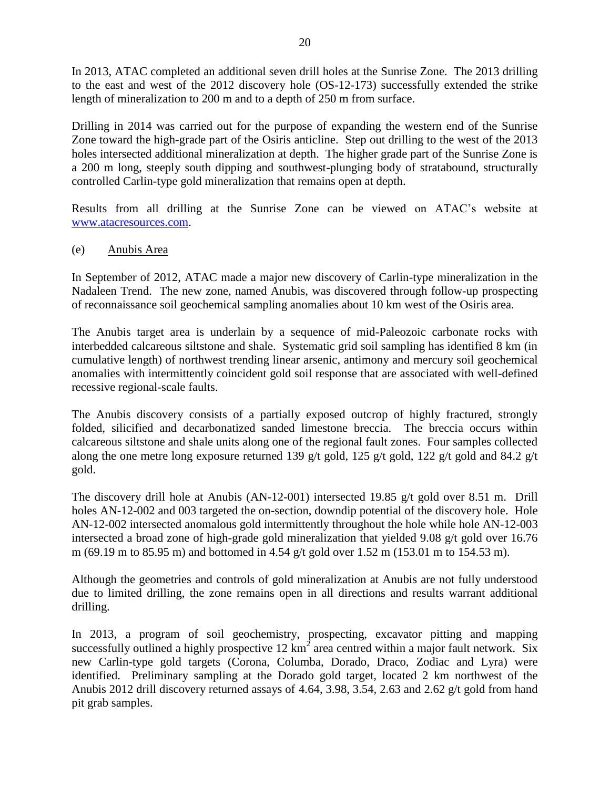In 2013, ATAC completed an additional seven drill holes at the Sunrise Zone. The 2013 drilling to the east and west of the 2012 discovery hole (OS-12-173) successfully extended the strike length of mineralization to 200 m and to a depth of 250 m from surface.

Drilling in 2014 was carried out for the purpose of expanding the western end of the Sunrise Zone toward the high-grade part of the Osiris anticline. Step out drilling to the west of the 2013 holes intersected additional mineralization at depth. The higher grade part of the Sunrise Zone is a 200 m long, steeply south dipping and southwest-plunging body of stratabound, structurally controlled Carlin-type gold mineralization that remains open at depth.

Results from all drilling at the Sunrise Zone can be viewed on ATAC's website at [www.atacresources.com.](http://www.atacresources.com/news/news-releases/atac-resources-ltd-identifies-10-sq-km-gold-in-soil-anomaly-5-km-southeast-of-its-tiger-gold-deposit-rackla-gold-project-yukon)

#### (e) Anubis Area

In September of 2012, ATAC made a major new discovery of Carlin-type mineralization in the Nadaleen Trend. The new zone, named Anubis, was discovered through follow-up prospecting of reconnaissance soil geochemical sampling anomalies about 10 km west of the Osiris area.

The Anubis target area is underlain by a sequence of mid-Paleozoic carbonate rocks with interbedded calcareous siltstone and shale. Systematic grid soil sampling has identified 8 km (in cumulative length) of northwest trending linear arsenic, antimony and mercury soil geochemical anomalies with intermittently coincident gold soil response that are associated with well-defined recessive regional-scale faults.

The Anubis discovery consists of a partially exposed outcrop of highly fractured, strongly folded, silicified and decarbonatized sanded limestone breccia. The breccia occurs within calcareous siltstone and shale units along one of the regional fault zones. Four samples collected along the one metre long exposure returned 139 g/t gold, 125 g/t gold, 122 g/t gold and 84.2 g/t gold.

The discovery drill hole at Anubis (AN-12-001) intersected 19.85 g/t gold over 8.51 m. Drill holes AN-12-002 and 003 targeted the on-section, downdip potential of the discovery hole. Hole AN-12-002 intersected anomalous gold intermittently throughout the hole while hole AN-12-003 intersected a broad zone of high-grade gold mineralization that yielded 9.08 g/t gold over 16.76 m (69.19 m to 85.95 m) and bottomed in 4.54 g/t gold over 1.52 m (153.01 m to 154.53 m).

Although the geometries and controls of gold mineralization at Anubis are not fully understood due to limited drilling, the zone remains open in all directions and results warrant additional drilling.

In 2013, a program of soil geochemistry, prospecting, excavator pitting and mapping successfully outlined a highly prospective  $12 \text{ km}^2$  area centred within a major fault network. Six new Carlin-type gold targets (Corona, Columba, Dorado, Draco, Zodiac and Lyra) were identified. Preliminary sampling at the Dorado gold target, located 2 km northwest of the Anubis 2012 drill discovery returned assays of 4.64, 3.98, 3.54, 2.63 and 2.62 g/t gold from hand pit grab samples.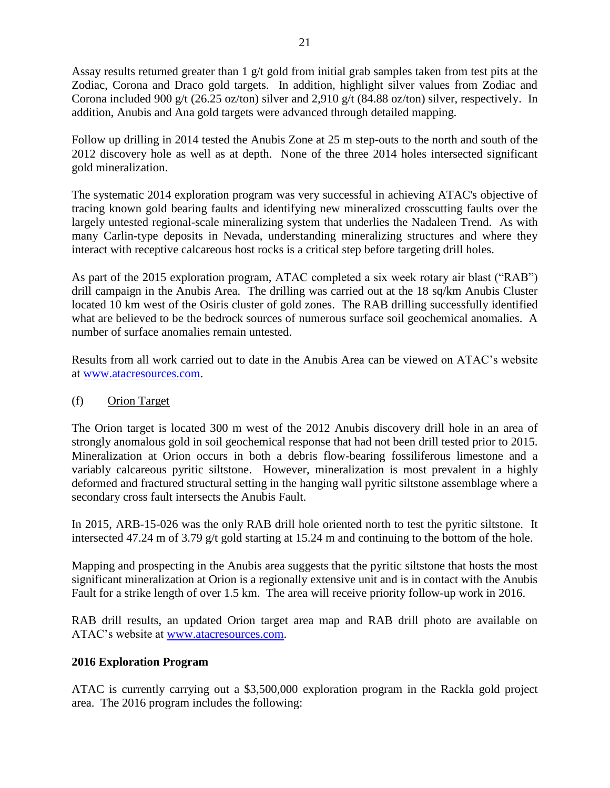Assay results returned greater than  $1 \text{ g/t}$  gold from initial grab samples taken from test pits at the Zodiac, Corona and Draco gold targets. In addition, highlight silver values from Zodiac and Corona included 900 g/t (26.25 oz/ton) silver and 2,910 g/t (84.88 oz/ton) silver, respectively. In addition, Anubis and Ana gold targets were advanced through detailed mapping.

Follow up drilling in 2014 tested the Anubis Zone at 25 m step-outs to the north and south of the 2012 discovery hole as well as at depth. None of the three 2014 holes intersected significant gold mineralization.

The systematic 2014 exploration program was very successful in achieving ATAC's objective of tracing known gold bearing faults and identifying new mineralized crosscutting faults over the largely untested regional-scale mineralizing system that underlies the Nadaleen Trend. As with many Carlin-type deposits in Nevada, understanding mineralizing structures and where they interact with receptive calcareous host rocks is a critical step before targeting drill holes.

As part of the 2015 exploration program, ATAC completed a six week rotary air blast ("RAB") drill campaign in the Anubis Area. The drilling was carried out at the 18 sq/km Anubis Cluster located 10 km west of the Osiris cluster of gold zones. The RAB drilling successfully identified what are believed to be the bedrock sources of numerous surface soil geochemical anomalies. A number of surface anomalies remain untested.

Results from all work carried out to date in the Anubis Area can be viewed on ATAC's website at [www.atacresources.com.](http://www.atacresources.com/news/news-releases/atac-resources-ltd-identifies-10-sq-km-gold-in-soil-anomaly-5-km-southeast-of-its-tiger-gold-deposit-rackla-gold-project-yukon)

#### (f) Orion Target

The Orion target is located 300 m west of the 2012 Anubis discovery drill hole in an area of strongly anomalous gold in soil geochemical response that had not been drill tested prior to 2015. Mineralization at Orion occurs in both a debris flow-bearing fossiliferous limestone and a variably calcareous pyritic siltstone. However, mineralization is most prevalent in a highly deformed and fractured structural setting in the hanging wall pyritic siltstone assemblage where a secondary cross fault intersects the Anubis Fault.

In 2015, ARB-15-026 was the only RAB drill hole oriented north to test the pyritic siltstone. It intersected 47.24 m of 3.79 g/t gold starting at 15.24 m and continuing to the bottom of the hole.

Mapping and prospecting in the Anubis area suggests that the pyritic siltstone that hosts the most significant mineralization at Orion is a regionally extensive unit and is in contact with the Anubis Fault for a strike length of over 1.5 km. The area will receive priority follow-up work in 2016.

RAB drill results, an updated Orion target area map and RAB drill photo are available on ATAC's website at [www.atacresources.com.](http://www.atacresources.com/)

### **2016 Exploration Program**

ATAC is currently carrying out a \$3,500,000 exploration program in the Rackla gold project area. The 2016 program includes the following: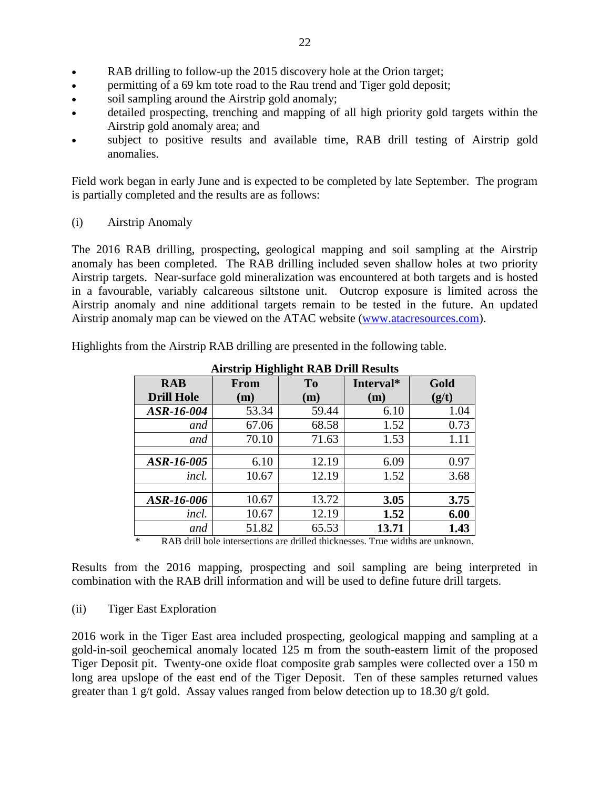- RAB drilling to follow-up the 2015 discovery hole at the Orion target;
- permitting of a 69 km tote road to the Rau trend and Tiger gold deposit;
- soil sampling around the Airstrip gold anomaly;
- detailed prospecting, trenching and mapping of all high priority gold targets within the Airstrip gold anomaly area; and
- subject to positive results and available time, RAB drill testing of Airstrip gold anomalies.

Field work began in early June and is expected to be completed by late September. The program is partially completed and the results are as follows:

(i) Airstrip Anomaly

The 2016 RAB drilling, prospecting, geological mapping and soil sampling at the Airstrip anomaly has been completed. The RAB drilling included seven shallow holes at two priority Airstrip targets. Near-surface gold mineralization was encountered at both targets and is hosted in a favourable, variably calcareous siltstone unit. Outcrop exposure is limited across the Airstrip anomaly and nine additional targets remain to be tested in the future. An updated Airstrip anomaly map can be viewed on the ATAC website [\(www.atacresources.com\)](http://www.atacresources.com/).

Highlights from the Airstrip RAB drilling are presented in the following table.

| <i><b>THISHIP HIGHIGHt IVID DIM INSURS</b></i> |             |                |           |       |  |
|------------------------------------------------|-------------|----------------|-----------|-------|--|
| <b>RAB</b>                                     | <b>From</b> | T <sub>0</sub> | Interval* | Gold  |  |
| <b>Drill Hole</b>                              | (m)         | (m)            | (m)       | (g/t) |  |
| ASR-16-004                                     | 53.34       | 59.44          | 6.10      | 1.04  |  |
| and                                            | 67.06       | 68.58          | 1.52      | 0.73  |  |
| and                                            | 70.10       | 71.63          | 1.53      | 1.11  |  |
|                                                |             |                |           |       |  |
| ASR-16-005                                     | 6.10        | 12.19          | 6.09      | 0.97  |  |
| <i>incl.</i>                                   | 10.67       | 12.19          | 1.52      | 3.68  |  |
|                                                |             |                |           |       |  |
| ASR-16-006                                     | 10.67       | 13.72          | 3.05      | 3.75  |  |
| incl.                                          | 10.67       | 12.19          | 1.52      | 6.00  |  |
| and                                            | 51.82       | 65.53          | 13.71     | 1.43  |  |

**Airstrip Highlight RAB Drill Results**

\* RAB drill hole intersections are drilled thicknesses. True widths are unknown.

Results from the 2016 mapping, prospecting and soil sampling are being interpreted in combination with the RAB drill information and will be used to define future drill targets.

(ii) Tiger East Exploration

2016 work in the Tiger East area included prospecting, geological mapping and sampling at a gold-in-soil geochemical anomaly located 125 m from the south-eastern limit of the proposed Tiger Deposit pit. Twenty-one oxide float composite grab samples were collected over a 150 m long area upslope of the east end of the Tiger Deposit. Ten of these samples returned values greater than 1 g/t gold. Assay values ranged from below detection up to 18.30 g/t gold.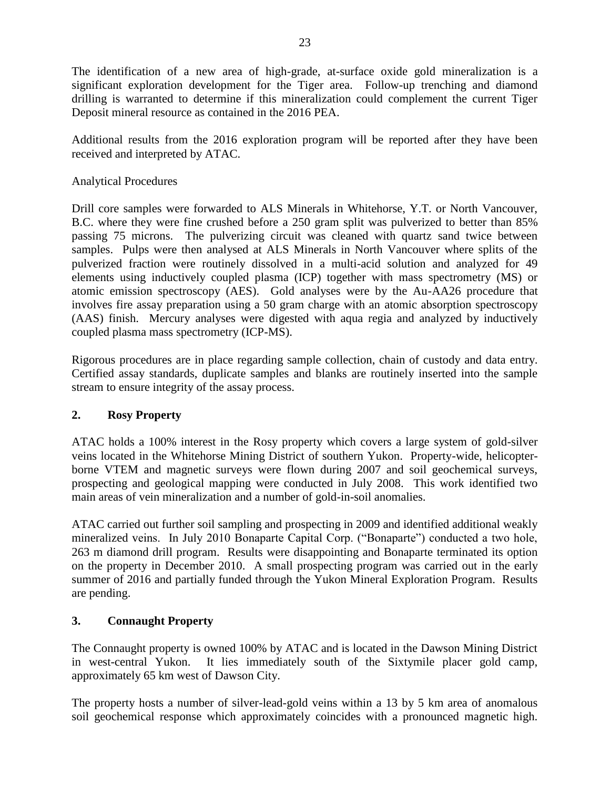The identification of a new area of high-grade, at-surface oxide gold mineralization is a significant exploration development for the Tiger area. Follow-up trenching and diamond drilling is warranted to determine if this mineralization could complement the current Tiger Deposit mineral resource as contained in the 2016 PEA.

Additional results from the 2016 exploration program will be reported after they have been received and interpreted by ATAC.

### Analytical Procedures

Drill core samples were forwarded to ALS Minerals in Whitehorse, Y.T. or North Vancouver, B.C. where they were fine crushed before a 250 gram split was pulverized to better than 85% passing 75 microns. The pulverizing circuit was cleaned with quartz sand twice between samples. Pulps were then analysed at ALS Minerals in North Vancouver where splits of the pulverized fraction were routinely dissolved in a multi-acid solution and analyzed for 49 elements using inductively coupled plasma (ICP) together with mass spectrometry (MS) or atomic emission spectroscopy (AES). Gold analyses were by the Au-AA26 procedure that involves fire assay preparation using a 50 gram charge with an atomic absorption spectroscopy (AAS) finish. Mercury analyses were digested with aqua regia and analyzed by inductively coupled plasma mass spectrometry (ICP-MS).

Rigorous procedures are in place regarding sample collection, chain of custody and data entry. Certified assay standards, duplicate samples and blanks are routinely inserted into the sample stream to ensure integrity of the assay process.

### **2. Rosy Property**

ATAC holds a 100% interest in the Rosy property which covers a large system of gold-silver veins located in the Whitehorse Mining District of southern Yukon. Property-wide, helicopterborne VTEM and magnetic surveys were flown during 2007 and soil geochemical surveys, prospecting and geological mapping were conducted in July 2008. This work identified two main areas of vein mineralization and a number of gold-in-soil anomalies.

ATAC carried out further soil sampling and prospecting in 2009 and identified additional weakly mineralized veins. In July 2010 Bonaparte Capital Corp. ("Bonaparte") conducted a two hole, 263 m diamond drill program. Results were disappointing and Bonaparte terminated its option on the property in December 2010. A small prospecting program was carried out in the early summer of 2016 and partially funded through the Yukon Mineral Exploration Program. Results are pending.

# **3. Connaught Property**

The Connaught property is owned 100% by ATAC and is located in the Dawson Mining District in west-central Yukon. It lies immediately south of the Sixtymile placer gold camp, approximately 65 km west of Dawson City.

The property hosts a number of silver-lead-gold veins within a 13 by 5 km area of anomalous soil geochemical response which approximately coincides with a pronounced magnetic high.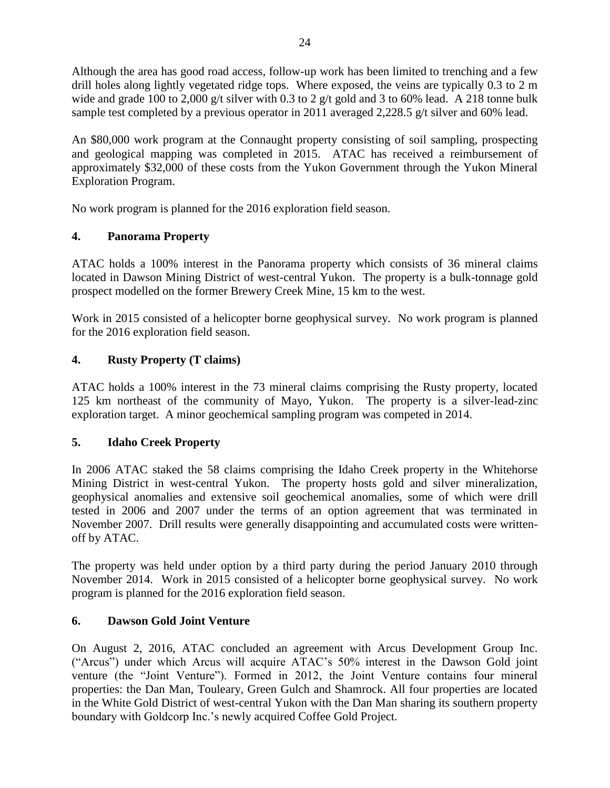Although the area has good road access, follow-up work has been limited to trenching and a few drill holes along lightly vegetated ridge tops. Where exposed, the veins are typically 0.3 to 2 m wide and grade 100 to 2,000 g/t silver with 0.3 to 2 g/t gold and 3 to 60% lead. A 218 tonne bulk sample test completed by a previous operator in 2011 averaged 2,228.5 g/t silver and 60% lead.

An \$80,000 work program at the Connaught property consisting of soil sampling, prospecting and geological mapping was completed in 2015. ATAC has received a reimbursement of approximately \$32,000 of these costs from the Yukon Government through the Yukon Mineral Exploration Program.

No work program is planned for the 2016 exploration field season.

# **4. Panorama Property**

ATAC holds a 100% interest in the Panorama property which consists of 36 mineral claims located in Dawson Mining District of west-central Yukon. The property is a bulk-tonnage gold prospect modelled on the former Brewery Creek Mine, 15 km to the west.

Work in 2015 consisted of a helicopter borne geophysical survey. No work program is planned for the 2016 exploration field season.

### **4. Rusty Property (T claims)**

ATAC holds a 100% interest in the 73 mineral claims comprising the Rusty property, located 125 km northeast of the community of Mayo, Yukon. The property is a silver-lead-zinc exploration target. A minor geochemical sampling program was competed in 2014.

### **5. Idaho Creek Property**

In 2006 ATAC staked the 58 claims comprising the Idaho Creek property in the Whitehorse Mining District in west-central Yukon. The property hosts gold and silver mineralization, geophysical anomalies and extensive soil geochemical anomalies, some of which were drill tested in 2006 and 2007 under the terms of an option agreement that was terminated in November 2007. Drill results were generally disappointing and accumulated costs were writtenoff by ATAC.

The property was held under option by a third party during the period January 2010 through November 2014. Work in 2015 consisted of a helicopter borne geophysical survey. No work program is planned for the 2016 exploration field season.

### **6. Dawson Gold Joint Venture**

On August 2, 2016, ATAC concluded an agreement with Arcus Development Group Inc. ("Arcus") under which Arcus will acquire ATAC's 50% interest in the Dawson Gold joint venture (the "Joint Venture"). Formed in 2012, the Joint Venture contains four mineral properties: the Dan Man, Touleary, Green Gulch and Shamrock. All four properties are located in the White Gold District of west-central Yukon with the Dan Man sharing its southern property boundary with Goldcorp Inc.'s newly acquired Coffee Gold Project.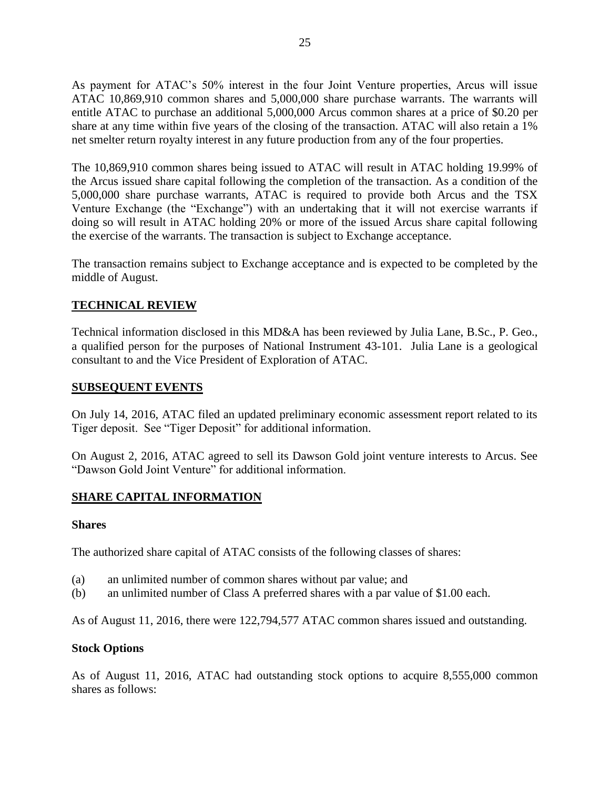As payment for ATAC's 50% interest in the four Joint Venture properties, Arcus will issue ATAC 10,869,910 common shares and 5,000,000 share purchase warrants. The warrants will entitle ATAC to purchase an additional 5,000,000 Arcus common shares at a price of \$0.20 per share at any time within five years of the closing of the transaction. ATAC will also retain a 1% net smelter return royalty interest in any future production from any of the four properties.

The 10,869,910 common shares being issued to ATAC will result in ATAC holding 19.99% of the Arcus issued share capital following the completion of the transaction. As a condition of the 5,000,000 share purchase warrants, ATAC is required to provide both Arcus and the TSX Venture Exchange (the "Exchange") with an undertaking that it will not exercise warrants if doing so will result in ATAC holding 20% or more of the issued Arcus share capital following the exercise of the warrants. The transaction is subject to Exchange acceptance.

The transaction remains subject to Exchange acceptance and is expected to be completed by the middle of August.

### **TECHNICAL REVIEW**

Technical information disclosed in this MD&A has been reviewed by Julia Lane, B.Sc., P. Geo., a qualified person for the purposes of National Instrument 43-101. Julia Lane is a geological consultant to and the Vice President of Exploration of ATAC.

#### **SUBSEQUENT EVENTS**

On July 14, 2016, ATAC filed an updated preliminary economic assessment report related to its Tiger deposit. See "Tiger Deposit" for additional information.

On August 2, 2016, ATAC agreed to sell its Dawson Gold joint venture interests to Arcus. See "Dawson Gold Joint Venture" for additional information.

#### **SHARE CAPITAL INFORMATION**

#### **Shares**

The authorized share capital of ATAC consists of the following classes of shares:

- (a) an unlimited number of common shares without par value; and
- (b) an unlimited number of Class A preferred shares with a par value of \$1.00 each.

As of August 11, 2016, there were 122,794,577 ATAC common shares issued and outstanding.

#### **Stock Options**

As of August 11, 2016, ATAC had outstanding stock options to acquire 8,555,000 common shares as follows: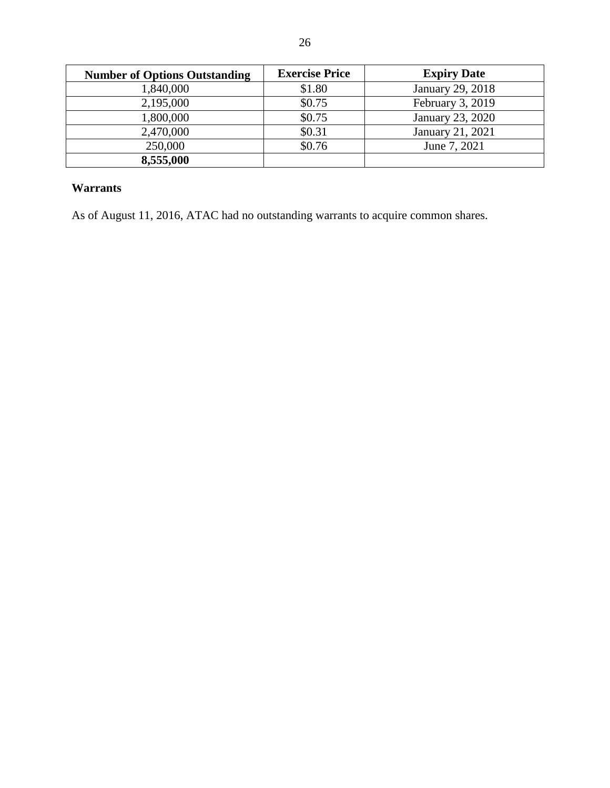| <b>Number of Options Outstanding</b> | <b>Exercise Price</b> | <b>Expiry Date</b> |
|--------------------------------------|-----------------------|--------------------|
| 1,840,000                            | \$1.80                | January 29, 2018   |
| 2,195,000                            | \$0.75                | February 3, 2019   |
| 1,800,000                            | \$0.75                | January 23, 2020   |
| 2,470,000                            | \$0.31                | January 21, 2021   |
| 250,000                              | \$0.76                | June 7, 2021       |
| 8,555,000                            |                       |                    |

# **Warrants**

As of August 11, 2016, ATAC had no outstanding warrants to acquire common shares.